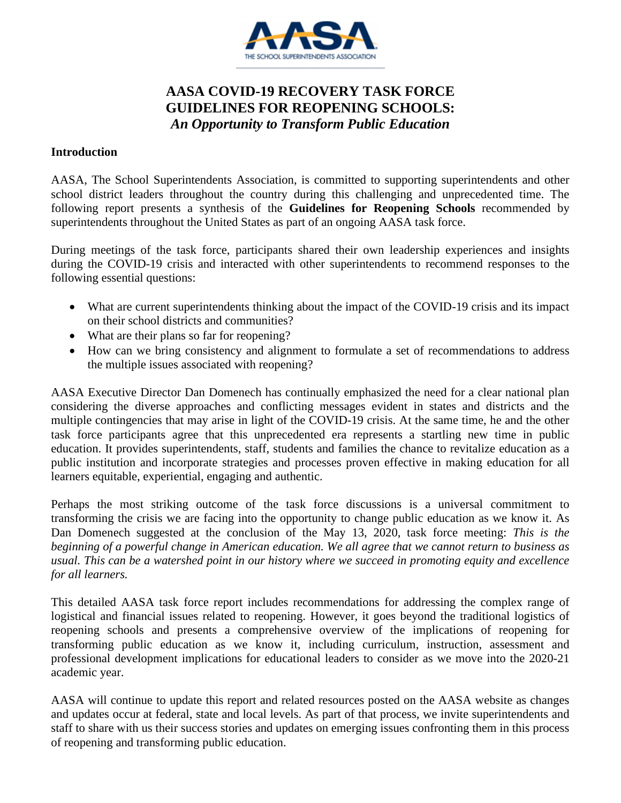

# **AASA COVID-19 RECOVERY TASK FORCE GUIDELINES FOR REOPENING SCHOOLS:** *An Opportunity to Transform Public Education*

#### **Introduction**

AASA, The School Superintendents Association, is committed to supporting superintendents and other school district leaders throughout the country during this challenging and unprecedented time. The following report presents a synthesis of the **Guidelines for Reopening Schools** recommended by superintendents throughout the United States as part of an ongoing AASA task force.

During meetings of the task force, participants shared their own leadership experiences and insights during the COVID-19 crisis and interacted with other superintendents to recommend responses to the following essential questions:

- What are current superintendents thinking about the impact of the COVID-19 crisis and its impact on their school districts and communities?
- What are their plans so far for reopening?
- How can we bring consistency and alignment to formulate a set of recommendations to address the multiple issues associated with reopening?

AASA Executive Director Dan Domenech has continually emphasized the need for a clear national plan considering the diverse approaches and conflicting messages evident in states and districts and the multiple contingencies that may arise in light of the COVID-19 crisis. At the same time, he and the other task force participants agree that this unprecedented era represents a startling new time in public education. It provides superintendents, staff, students and families the chance to revitalize education as a public institution and incorporate strategies and processes proven effective in making education for all learners equitable, experiential, engaging and authentic.

Perhaps the most striking outcome of the task force discussions is a universal commitment to transforming the crisis we are facing into the opportunity to change public education as we know it. As Dan Domenech suggested at the conclusion of the May 13, 2020, task force meeting: *This is the beginning of a powerful change in American education. We all agree that we cannot return to business as usual. This can be a watershed point in our history where we succeed in promoting equity and excellence for all learners.*

This detailed AASA task force report includes recommendations for addressing the complex range of logistical and financial issues related to reopening. However, it goes beyond the traditional logistics of reopening schools and presents a comprehensive overview of the implications of reopening for transforming public education as we know it, including curriculum, instruction, assessment and professional development implications for educational leaders to consider as we move into the 2020-21 academic year.

AASA will continue to update this report and related resources posted on the AASA website as changes and updates occur at federal, state and local levels. As part of that process, we invite superintendents and staff to share with us their success stories and updates on emerging issues confronting them in this process of reopening and transforming public education.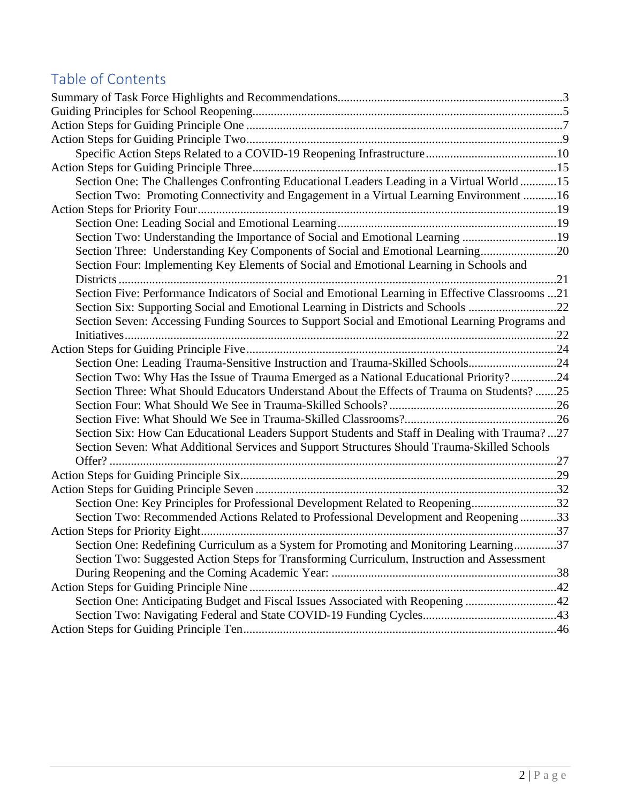# Table of Contents

| Section One: The Challenges Confronting Educational Leaders Leading in a Virtual World15         |  |
|--------------------------------------------------------------------------------------------------|--|
| Section Two: Promoting Connectivity and Engagement in a Virtual Learning Environment 16          |  |
|                                                                                                  |  |
|                                                                                                  |  |
| Section Two: Understanding the Importance of Social and Emotional Learning 19                    |  |
| Section Three: Understanding Key Components of Social and Emotional Learning20                   |  |
| Section Four: Implementing Key Elements of Social and Emotional Learning in Schools and          |  |
|                                                                                                  |  |
| Section Five: Performance Indicators of Social and Emotional Learning in Effective Classrooms 21 |  |
| Section Six: Supporting Social and Emotional Learning in Districts and Schools 22                |  |
| Section Seven: Accessing Funding Sources to Support Social and Emotional Learning Programs and   |  |
|                                                                                                  |  |
|                                                                                                  |  |
| Section One: Leading Trauma-Sensitive Instruction and Trauma-Skilled Schools24                   |  |
| Section Two: Why Has the Issue of Trauma Emerged as a National Educational Priority?24           |  |
| Section Three: What Should Educators Understand About the Effects of Trauma on Students?25       |  |
|                                                                                                  |  |
|                                                                                                  |  |
| Section Six: How Can Educational Leaders Support Students and Staff in Dealing with Trauma?27    |  |
| Section Seven: What Additional Services and Support Structures Should Trauma-Skilled Schools     |  |
| Offer?                                                                                           |  |
|                                                                                                  |  |
|                                                                                                  |  |
| Section One: Key Principles for Professional Development Related to Reopening32                  |  |
| Section Two: Recommended Actions Related to Professional Development and Reopening33             |  |
|                                                                                                  |  |
| Section One: Redefining Curriculum as a System for Promoting and Monitoring Learning37           |  |
| Section Two: Suggested Action Steps for Transforming Curriculum, Instruction and Assessment      |  |
|                                                                                                  |  |
|                                                                                                  |  |
| Section One: Anticipating Budget and Fiscal Issues Associated with Reopening 42                  |  |
|                                                                                                  |  |
|                                                                                                  |  |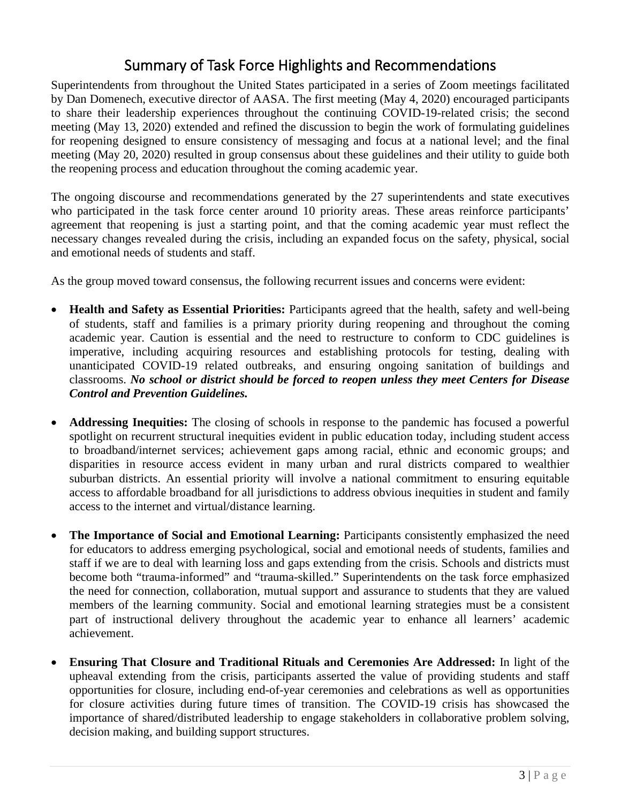# Summary of Task Force Highlights and Recommendations

<span id="page-2-0"></span>Superintendents from throughout the United States participated in a series of Zoom meetings facilitated by Dan Domenech, executive director of AASA. The first meeting (May 4, 2020) encouraged participants to share their leadership experiences throughout the continuing COVID-19-related crisis; the second meeting (May 13, 2020) extended and refined the discussion to begin the work of formulating guidelines for reopening designed to ensure consistency of messaging and focus at a national level; and the final meeting (May 20, 2020) resulted in group consensus about these guidelines and their utility to guide both the reopening process and education throughout the coming academic year.

The ongoing discourse and recommendations generated by the 27 superintendents and state executives who participated in the task force center around 10 priority areas. These areas reinforce participants' agreement that reopening is just a starting point, and that the coming academic year must reflect the necessary changes revealed during the crisis, including an expanded focus on the safety, physical, social and emotional needs of students and staff.

As the group moved toward consensus, the following recurrent issues and concerns were evident:

- **Health and Safety as Essential Priorities:** Participants agreed that the health, safety and well-being of students, staff and families is a primary priority during reopening and throughout the coming academic year. Caution is essential and the need to restructure to conform to CDC guidelines is imperative, including acquiring resources and establishing protocols for testing, dealing with unanticipated COVID-19 related outbreaks, and ensuring ongoing sanitation of buildings and classrooms. *No school or district should be forced to reopen unless they meet Centers for Disease Control and Prevention Guidelines.*
- **Addressing Inequities:** The closing of schools in response to the pandemic has focused a powerful spotlight on recurrent structural inequities evident in public education today, including student access to broadband/internet services; achievement gaps among racial, ethnic and economic groups; and disparities in resource access evident in many urban and rural districts compared to wealthier suburban districts. An essential priority will involve a national commitment to ensuring equitable access to affordable broadband for all jurisdictions to address obvious inequities in student and family access to the internet and virtual/distance learning.
- **The Importance of Social and Emotional Learning:** Participants consistently emphasized the need for educators to address emerging psychological, social and emotional needs of students, families and staff if we are to deal with learning loss and gaps extending from the crisis. Schools and districts must become both "trauma-informed" and "trauma-skilled." Superintendents on the task force emphasized the need for connection, collaboration, mutual support and assurance to students that they are valued members of the learning community. Social and emotional learning strategies must be a consistent part of instructional delivery throughout the academic year to enhance all learners' academic achievement.
- **Ensuring That Closure and Traditional Rituals and Ceremonies Are Addressed:** In light of the upheaval extending from the crisis, participants asserted the value of providing students and staff opportunities for closure, including end-of-year ceremonies and celebrations as well as opportunities for closure activities during future times of transition. The COVID-19 crisis has showcased the importance of shared/distributed leadership to engage stakeholders in collaborative problem solving, decision making, and building support structures.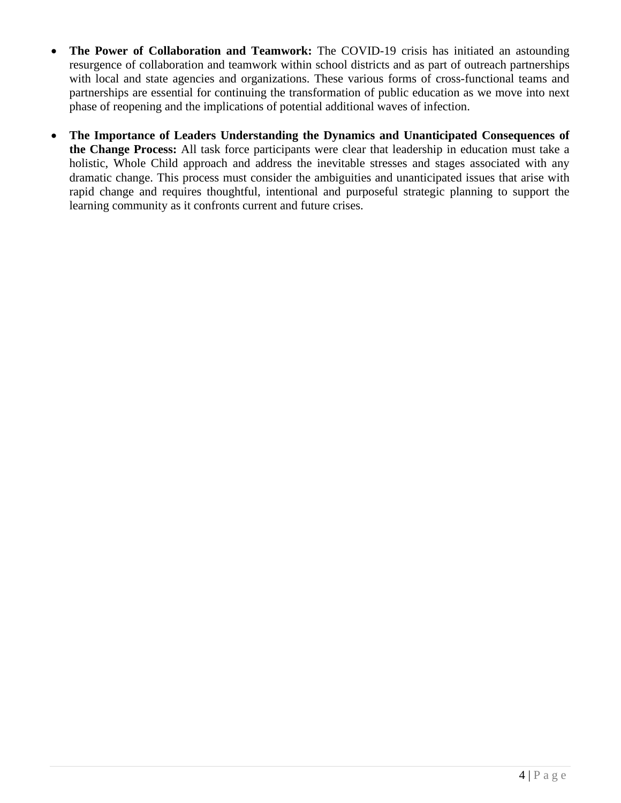- **The Power of Collaboration and Teamwork:** The COVID-19 crisis has initiated an astounding resurgence of collaboration and teamwork within school districts and as part of outreach partnerships with local and state agencies and organizations. These various forms of cross-functional teams and partnerships are essential for continuing the transformation of public education as we move into next phase of reopening and the implications of potential additional waves of infection.
- **The Importance of Leaders Understanding the Dynamics and Unanticipated Consequences of the Change Process:** All task force participants were clear that leadership in education must take a holistic, Whole Child approach and address the inevitable stresses and stages associated with any dramatic change. This process must consider the ambiguities and unanticipated issues that arise with rapid change and requires thoughtful, intentional and purposeful strategic planning to support the learning community as it confronts current and future crises.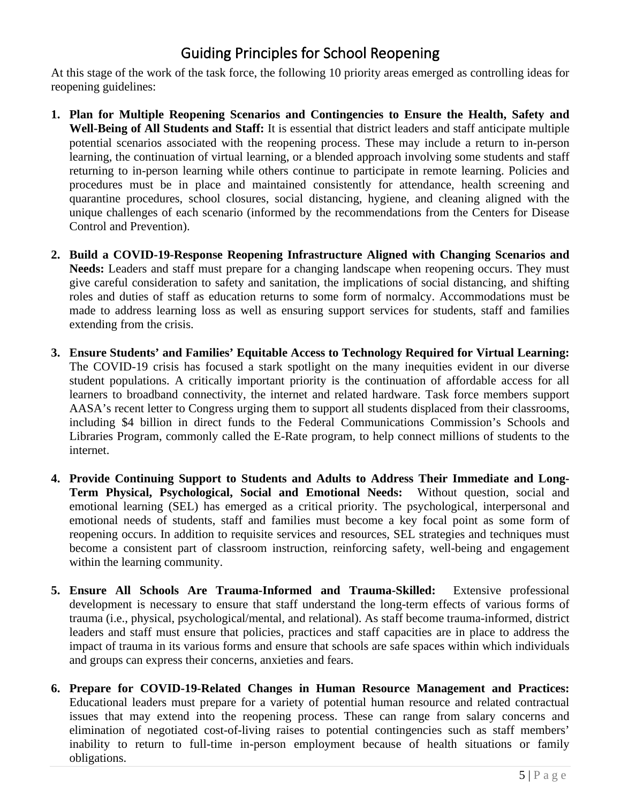# Guiding Principles for School Reopening

<span id="page-4-0"></span>At this stage of the work of the task force, the following 10 priority areas emerged as controlling ideas for reopening guidelines:

- **1. Plan for Multiple Reopening Scenarios and Contingencies to Ensure the Health, Safety and Well-Being of All Students and Staff:** It is essential that district leaders and staff anticipate multiple potential scenarios associated with the reopening process. These may include a return to in-person learning, the continuation of virtual learning, or a blended approach involving some students and staff returning to in-person learning while others continue to participate in remote learning. Policies and procedures must be in place and maintained consistently for attendance, health screening and quarantine procedures, school closures, social distancing, hygiene, and cleaning aligned with the unique challenges of each scenario (informed by the recommendations from the Centers for Disease Control and Prevention).
- **2. Build a COVID-19-Response Reopening Infrastructure Aligned with Changing Scenarios and Needs:** Leaders and staff must prepare for a changing landscape when reopening occurs. They must give careful consideration to safety and sanitation, the implications of social distancing, and shifting roles and duties of staff as education returns to some form of normalcy. Accommodations must be made to address learning loss as well as ensuring support services for students, staff and families extending from the crisis.
- **3. Ensure Students' and Families' Equitable Access to Technology Required for Virtual Learning:**  The COVID-19 crisis has focused a stark spotlight on the many inequities evident in our diverse student populations. A critically important priority is the continuation of affordable access for all learners to broadband connectivity, the internet and related hardware. Task force members support AASA's recent letter to Congress urging them to support all students displaced from their classrooms, including \$4 billion in direct funds to the Federal Communications Commission's Schools and Libraries Program, commonly called the E-Rate program, to help connect millions of students to the internet.
- **4. Provide Continuing Support to Students and Adults to Address Their Immediate and Long-Term Physical, Psychological, Social and Emotional Needs:** Without question, social and emotional learning (SEL) has emerged as a critical priority. The psychological, interpersonal and emotional needs of students, staff and families must become a key focal point as some form of reopening occurs. In addition to requisite services and resources, SEL strategies and techniques must become a consistent part of classroom instruction, reinforcing safety, well-being and engagement within the learning community.
- **5. Ensure All Schools Are Trauma-Informed and Trauma-Skilled:** Extensive professional development is necessary to ensure that staff understand the long-term effects of various forms of trauma (i.e., physical, psychological/mental, and relational). As staff become trauma-informed, district leaders and staff must ensure that policies, practices and staff capacities are in place to address the impact of trauma in its various forms and ensure that schools are safe spaces within which individuals and groups can express their concerns, anxieties and fears.
- **6. Prepare for COVID-19-Related Changes in Human Resource Management and Practices:**  Educational leaders must prepare for a variety of potential human resource and related contractual issues that may extend into the reopening process. These can range from salary concerns and elimination of negotiated cost-of-living raises to potential contingencies such as staff members' inability to return to full-time in-person employment because of health situations or family obligations.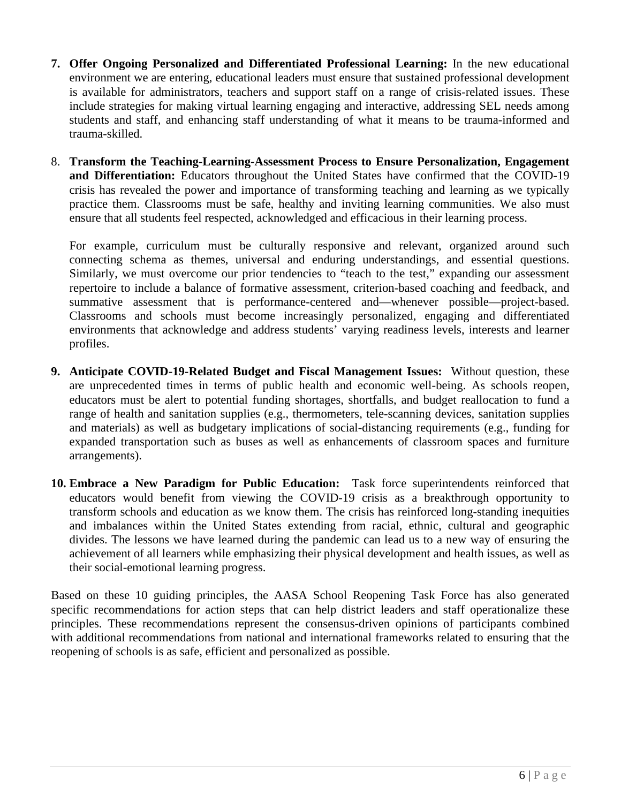- **7. Offer Ongoing Personalized and Differentiated Professional Learning:** In the new educational environment we are entering, educational leaders must ensure that sustained professional development is available for administrators, teachers and support staff on a range of crisis-related issues. These include strategies for making virtual learning engaging and interactive, addressing SEL needs among students and staff, and enhancing staff understanding of what it means to be trauma-informed and trauma-skilled.
- 8. **Transform the Teaching-Learning-Assessment Process to Ensure Personalization, Engagement and Differentiation:** Educators throughout the United States have confirmed that the COVID-19 crisis has revealed the power and importance of transforming teaching and learning as we typically practice them. Classrooms must be safe, healthy and inviting learning communities. We also must ensure that all students feel respected, acknowledged and efficacious in their learning process.

For example, curriculum must be culturally responsive and relevant, organized around such connecting schema as themes, universal and enduring understandings, and essential questions. Similarly, we must overcome our prior tendencies to "teach to the test," expanding our assessment repertoire to include a balance of formative assessment, criterion-based coaching and feedback, and summative assessment that is performance-centered and—whenever possible—project-based. Classrooms and schools must become increasingly personalized, engaging and differentiated environments that acknowledge and address students' varying readiness levels, interests and learner profiles.

- **9. Anticipate COVID-19-Related Budget and Fiscal Management Issues:** Without question, these are unprecedented times in terms of public health and economic well-being. As schools reopen, educators must be alert to potential funding shortages, shortfalls, and budget reallocation to fund a range of health and sanitation supplies (e.g., thermometers, tele-scanning devices, sanitation supplies and materials) as well as budgetary implications of social-distancing requirements (e.g., funding for expanded transportation such as buses as well as enhancements of classroom spaces and furniture arrangements).
- **10. Embrace a New Paradigm for Public Education:** Task force superintendents reinforced that educators would benefit from viewing the COVID-19 crisis as a breakthrough opportunity to transform schools and education as we know them. The crisis has reinforced long-standing inequities and imbalances within the United States extending from racial, ethnic, cultural and geographic divides. The lessons we have learned during the pandemic can lead us to a new way of ensuring the achievement of all learners while emphasizing their physical development and health issues, as well as their social-emotional learning progress.

Based on these 10 guiding principles, the AASA School Reopening Task Force has also generated specific recommendations for action steps that can help district leaders and staff operationalize these principles. These recommendations represent the consensus-driven opinions of participants combined with additional recommendations from national and international frameworks related to ensuring that the reopening of schools is as safe, efficient and personalized as possible.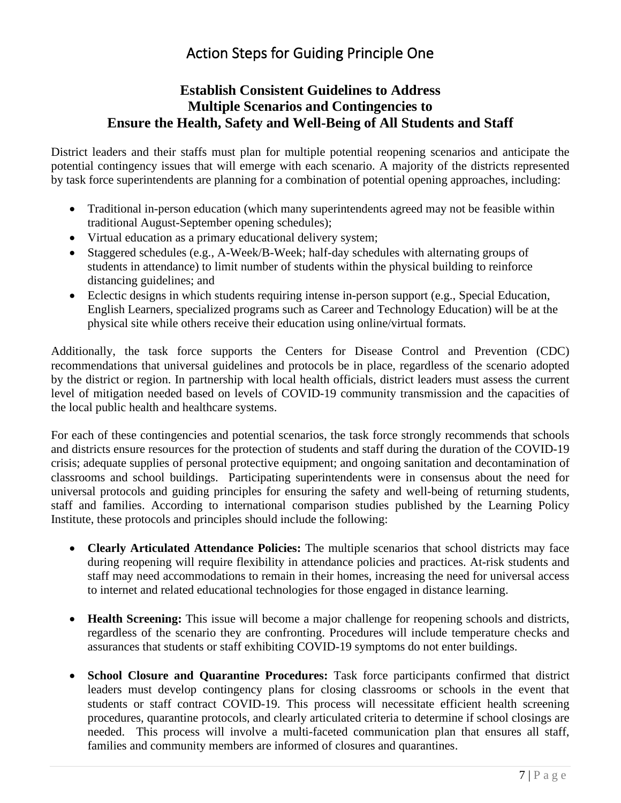# Action Steps for Guiding Principle One

# <span id="page-6-0"></span>**Establish Consistent Guidelines to Address Multiple Scenarios and Contingencies to Ensure the Health, Safety and Well-Being of All Students and Staff**

District leaders and their staffs must plan for multiple potential reopening scenarios and anticipate the potential contingency issues that will emerge with each scenario. A majority of the districts represented by task force superintendents are planning for a combination of potential opening approaches, including:

- Traditional in-person education (which many superintendents agreed may not be feasible within traditional August-September opening schedules);
- Virtual education as a primary educational delivery system;
- Staggered schedules (e.g., A-Week/B-Week; half-day schedules with alternating groups of students in attendance) to limit number of students within the physical building to reinforce distancing guidelines; and
- Eclectic designs in which students requiring intense in-person support (e.g., Special Education, English Learners, specialized programs such as Career and Technology Education) will be at the physical site while others receive their education using online/virtual formats.

Additionally, the task force supports the Centers for Disease Control and Prevention (CDC) recommendations that universal guidelines and protocols be in place, regardless of the scenario adopted by the district or region. In partnership with local health officials, district leaders must assess the current level of mitigation needed based on levels of COVID-19 community transmission and the capacities of the local public health and healthcare systems.

For each of these contingencies and potential scenarios, the task force strongly recommends that schools and districts ensure resources for the protection of students and staff during the duration of the COVID-19 crisis; adequate supplies of personal protective equipment; and ongoing sanitation and decontamination of classrooms and school buildings. Participating superintendents were in consensus about the need for universal protocols and guiding principles for ensuring the safety and well-being of returning students, staff and families. According to international comparison studies published by the Learning Policy Institute, these protocols and principles should include the following:

- **Clearly Articulated Attendance Policies:** The multiple scenarios that school districts may face during reopening will require flexibility in attendance policies and practices. At-risk students and staff may need accommodations to remain in their homes, increasing the need for universal access to internet and related educational technologies for those engaged in distance learning.
- **Health Screening:** This issue will become a major challenge for reopening schools and districts, regardless of the scenario they are confronting. Procedures will include temperature checks and assurances that students or staff exhibiting COVID-19 symptoms do not enter buildings.
- **School Closure and Quarantine Procedures:** Task force participants confirmed that district leaders must develop contingency plans for closing classrooms or schools in the event that students or staff contract COVID-19. This process will necessitate efficient health screening procedures, quarantine protocols, and clearly articulated criteria to determine if school closings are needed. This process will involve a multi-faceted communication plan that ensures all staff, families and community members are informed of closures and quarantines.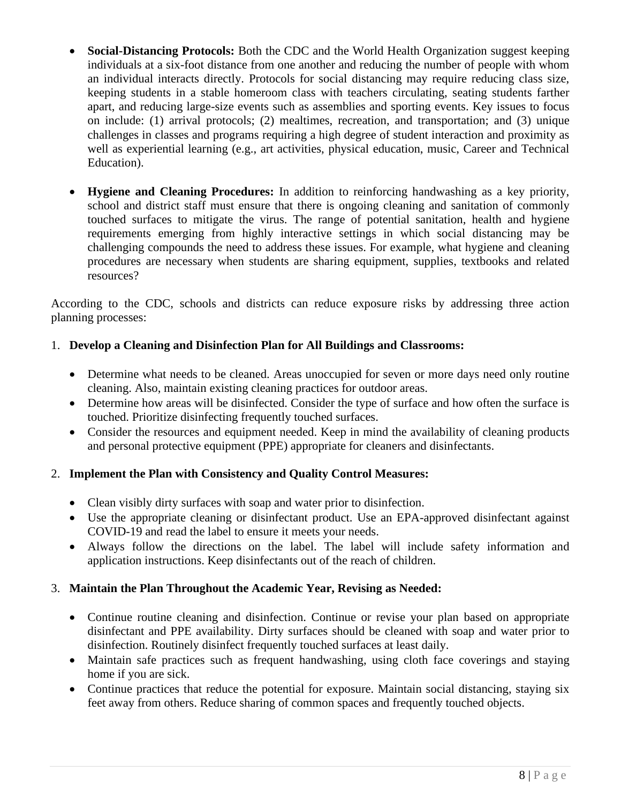- **Social-Distancing Protocols:** Both the CDC and the World Health Organization suggest keeping individuals at a six-foot distance from one another and reducing the number of people with whom an individual interacts directly. Protocols for social distancing may require reducing class size, keeping students in a stable homeroom class with teachers circulating, seating students farther apart, and reducing large-size events such as assemblies and sporting events. Key issues to focus on include: (1) arrival protocols; (2) mealtimes, recreation, and transportation; and (3) unique challenges in classes and programs requiring a high degree of student interaction and proximity as well as experiential learning (e.g., art activities, physical education, music, Career and Technical Education).
- **Hygiene and Cleaning Procedures:** In addition to reinforcing handwashing as a key priority, school and district staff must ensure that there is ongoing cleaning and sanitation of commonly touched surfaces to mitigate the virus. The range of potential sanitation, health and hygiene requirements emerging from highly interactive settings in which social distancing may be challenging compounds the need to address these issues. For example, what hygiene and cleaning procedures are necessary when students are sharing equipment, supplies, textbooks and related resources?

According to the CDC, schools and districts can reduce exposure risks by addressing three action planning processes:

# 1. **Develop a Cleaning and Disinfection Plan for All Buildings and Classrooms:**

- Determine what needs to be cleaned. Areas unoccupied for seven or more days need only routine cleaning. Also, maintain existing cleaning practices for outdoor areas.
- Determine how areas will be disinfected. Consider the type of surface and how often the surface is touched. Prioritize disinfecting frequently touched surfaces.
- Consider the resources and equipment needed. Keep in mind the availability of cleaning products and personal protective equipment (PPE) appropriate for cleaners and disinfectants.

## 2. **Implement the Plan with Consistency and Quality Control Measures:**

- Clean visibly dirty surfaces with soap and water prior to disinfection.
- Use the appropriate cleaning or disinfectant product. Use an EPA-approved disinfectant against COVID-19 and read the label to ensure it meets your needs.
- Always follow the directions on the label. The label will include safety information and application instructions. Keep disinfectants out of the reach of children.

## 3. **Maintain the Plan Throughout the Academic Year, Revising as Needed:**

- Continue routine cleaning and disinfection. Continue or revise your plan based on appropriate disinfectant and PPE availability. Dirty surfaces should be cleaned with soap and water prior to disinfection. Routinely disinfect frequently touched surfaces at least daily.
- Maintain safe practices such as frequent handwashing, using cloth face coverings and staying home if you are sick.
- Continue practices that reduce the potential for exposure. Maintain social distancing, staying six feet away from others. Reduce sharing of common spaces and frequently touched objects.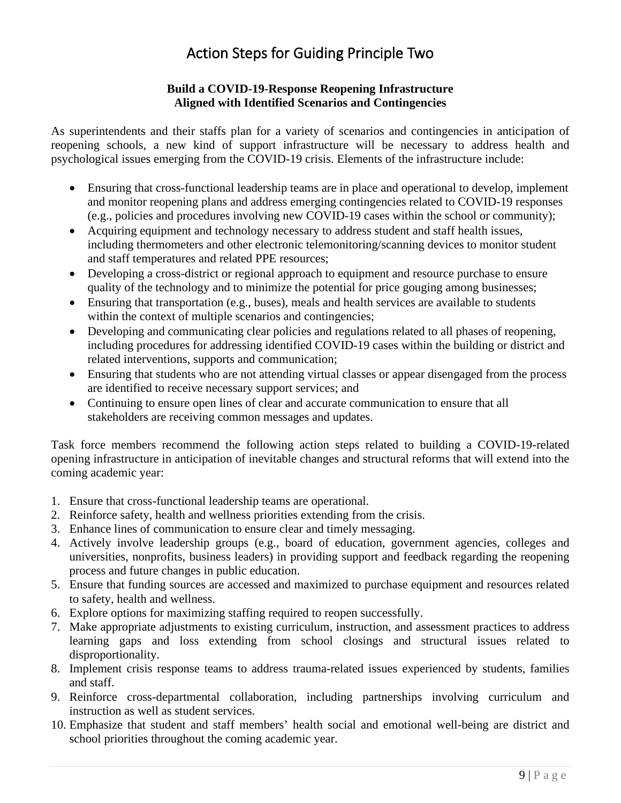# Action Steps for Guiding Principle Two

## **Build a COVID-19-Response Reopening Infrastructure Aligned with Identified Scenarios and Contingencies**

<span id="page-8-0"></span>As superintendents and their staffs plan for a variety of scenarios and contingencies in anticipation of reopening schools, a new kind of support infrastructure will be necessary to address health and psychological issues emerging from the COVID-19 crisis. Elements of the infrastructure include:

- Ensuring that cross-functional leadership teams are in place and operational to develop, implement and monitor reopening plans and address emerging contingencies related to COVID-19 responses (e.g., policies and procedures involving new COVID-19 cases within the school or community);
- Acquiring equipment and technology necessary to address student and staff health issues, including thermometers and other electronic telemonitoring/scanning devices to monitor student and staff temperatures and related PPE resources;
- Developing a cross-district or regional approach to equipment and resource purchase to ensure quality of the technology and to minimize the potential for price gouging among businesses;
- Ensuring that transportation (e.g., buses), meals and health services are available to students within the context of multiple scenarios and contingencies;
- Developing and communicating clear policies and regulations related to all phases of reopening, including procedures for addressing identified COVID-19 cases within the building or district and related interventions, supports and communication;
- Ensuring that students who are not attending virtual classes or appear disengaged from the process are identified to receive necessary support services; and
- Continuing to ensure open lines of clear and accurate communication to ensure that all stakeholders are receiving common messages and updates.

Task force members recommend the following action steps related to building a COVID-19-related opening infrastructure in anticipation of inevitable changes and structural reforms that will extend into the coming academic year:

- 1. Ensure that cross-functional leadership teams are operational.
- 2. Reinforce safety, health and wellness priorities extending from the crisis.
- 3. Enhance lines of communication to ensure clear and timely messaging.
- 4. Actively involve leadership groups (e.g., board of education, government agencies, colleges and universities, nonprofits, business leaders) in providing support and feedback regarding the reopening process and future changes in public education.
- 5. Ensure that funding sources are accessed and maximized to purchase equipment and resources related to safety, health and wellness.
- 6. Explore options for maximizing staffing required to reopen successfully.
- 7. Make appropriate adjustments to existing curriculum, instruction, and assessment practices to address learning gaps and loss extending from school closings and structural issues related to disproportionality.
- 8. Implement crisis response teams to address trauma-related issues experienced by students, families and staff.
- 9. Reinforce cross-departmental collaboration, including partnerships involving curriculum and instruction as well as student services.
- 10. Emphasize that student and staff members' health social and emotional well-being are district and school priorities throughout the coming academic year.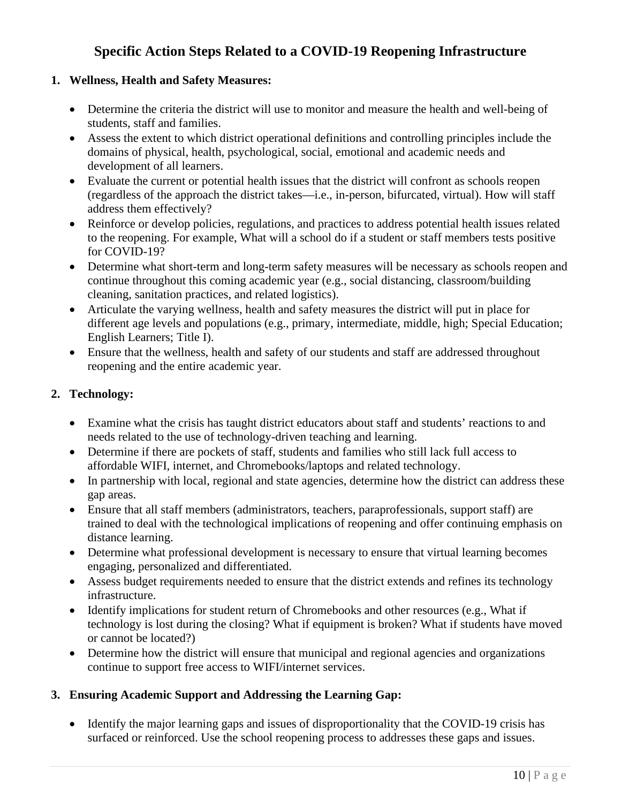# **Specific Action Steps Related to a COVID-19 Reopening Infrastructure**

## <span id="page-9-0"></span>**1. Wellness, Health and Safety Measures:**

- Determine the criteria the district will use to monitor and measure the health and well-being of students, staff and families.
- Assess the extent to which district operational definitions and controlling principles include the domains of physical, health, psychological, social, emotional and academic needs and development of all learners.
- Evaluate the current or potential health issues that the district will confront as schools reopen (regardless of the approach the district takes—i.e., in-person, bifurcated, virtual). How will staff address them effectively?
- Reinforce or develop policies, regulations, and practices to address potential health issues related to the reopening. For example, What will a school do if a student or staff members tests positive for COVID-19?
- Determine what short-term and long-term safety measures will be necessary as schools reopen and continue throughout this coming academic year (e.g., social distancing, classroom/building cleaning, sanitation practices, and related logistics).
- Articulate the varying wellness, health and safety measures the district will put in place for different age levels and populations (e.g., primary, intermediate, middle, high; Special Education; English Learners; Title I).
- Ensure that the wellness, health and safety of our students and staff are addressed throughout reopening and the entire academic year.

# **2. Technology:**

- Examine what the crisis has taught district educators about staff and students' reactions to and needs related to the use of technology-driven teaching and learning.
- Determine if there are pockets of staff, students and families who still lack full access to affordable WIFI, internet, and Chromebooks/laptops and related technology.
- In partnership with local, regional and state agencies, determine how the district can address these gap areas.
- Ensure that all staff members (administrators, teachers, paraprofessionals, support staff) are trained to deal with the technological implications of reopening and offer continuing emphasis on distance learning.
- Determine what professional development is necessary to ensure that virtual learning becomes engaging, personalized and differentiated.
- Assess budget requirements needed to ensure that the district extends and refines its technology infrastructure.
- Identify implications for student return of Chromebooks and other resources (e.g., What if technology is lost during the closing? What if equipment is broken? What if students have moved or cannot be located?)
- Determine how the district will ensure that municipal and regional agencies and organizations continue to support free access to WIFI/internet services.

# **3. Ensuring Academic Support and Addressing the Learning Gap:**

• Identify the major learning gaps and issues of disproportionality that the COVID-19 crisis has surfaced or reinforced. Use the school reopening process to addresses these gaps and issues.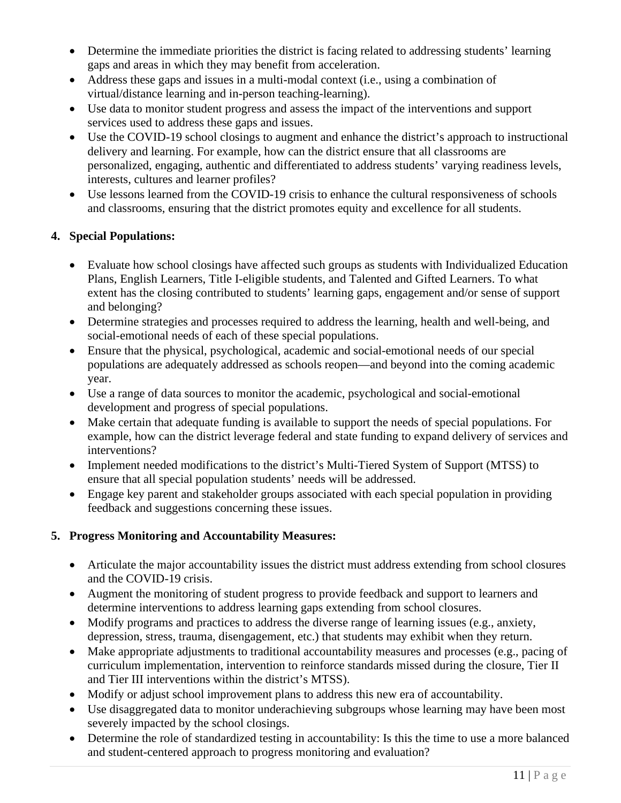- Determine the immediate priorities the district is facing related to addressing students' learning gaps and areas in which they may benefit from acceleration.
- Address these gaps and issues in a multi-modal context (i.e., using a combination of virtual/distance learning and in-person teaching-learning).
- Use data to monitor student progress and assess the impact of the interventions and support services used to address these gaps and issues.
- Use the COVID-19 school closings to augment and enhance the district's approach to instructional delivery and learning. For example, how can the district ensure that all classrooms are personalized, engaging, authentic and differentiated to address students' varying readiness levels, interests, cultures and learner profiles?
- Use lessons learned from the COVID-19 crisis to enhance the cultural responsiveness of schools and classrooms, ensuring that the district promotes equity and excellence for all students.

# **4. Special Populations:**

- Evaluate how school closings have affected such groups as students with Individualized Education Plans, English Learners, Title I-eligible students, and Talented and Gifted Learners. To what extent has the closing contributed to students' learning gaps, engagement and/or sense of support and belonging?
- Determine strategies and processes required to address the learning, health and well-being, and social-emotional needs of each of these special populations.
- Ensure that the physical, psychological, academic and social-emotional needs of our special populations are adequately addressed as schools reopen—and beyond into the coming academic year.
- Use a range of data sources to monitor the academic, psychological and social-emotional development and progress of special populations.
- Make certain that adequate funding is available to support the needs of special populations. For example, how can the district leverage federal and state funding to expand delivery of services and interventions?
- Implement needed modifications to the district's Multi-Tiered System of Support (MTSS) to ensure that all special population students' needs will be addressed.
- Engage key parent and stakeholder groups associated with each special population in providing feedback and suggestions concerning these issues.

# **5. Progress Monitoring and Accountability Measures:**

- Articulate the major accountability issues the district must address extending from school closures and the COVID-19 crisis.
- Augment the monitoring of student progress to provide feedback and support to learners and determine interventions to address learning gaps extending from school closures.
- Modify programs and practices to address the diverse range of learning issues (e.g., anxiety, depression, stress, trauma, disengagement, etc.) that students may exhibit when they return.
- Make appropriate adjustments to traditional accountability measures and processes (e.g., pacing of curriculum implementation, intervention to reinforce standards missed during the closure, Tier II and Tier III interventions within the district's MTSS).
- Modify or adjust school improvement plans to address this new era of accountability.
- Use disaggregated data to monitor underachieving subgroups whose learning may have been most severely impacted by the school closings.
- Determine the role of standardized testing in accountability: Is this the time to use a more balanced and student-centered approach to progress monitoring and evaluation?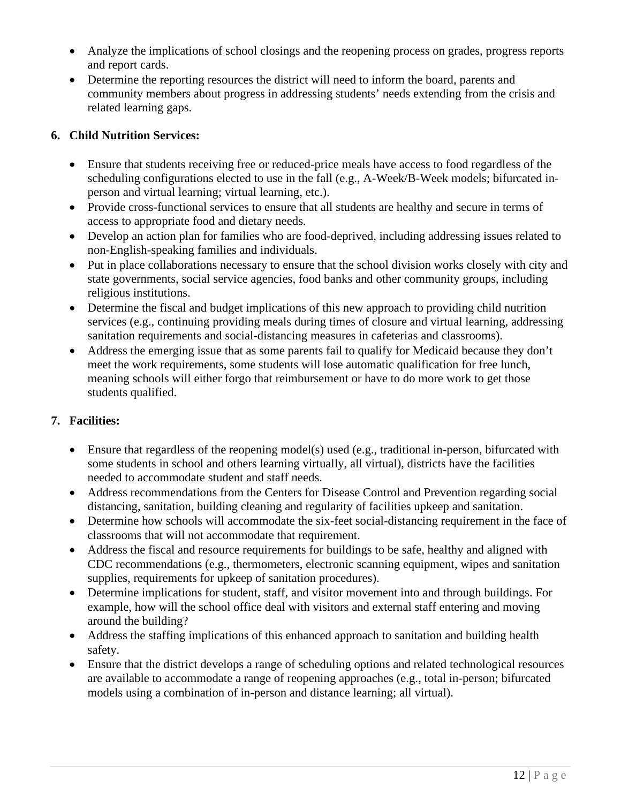- Analyze the implications of school closings and the reopening process on grades, progress reports and report cards.
- Determine the reporting resources the district will need to inform the board, parents and community members about progress in addressing students' needs extending from the crisis and related learning gaps.

# **6. Child Nutrition Services:**

- Ensure that students receiving free or reduced-price meals have access to food regardless of the scheduling configurations elected to use in the fall (e.g., A-Week/B-Week models; bifurcated inperson and virtual learning; virtual learning, etc.).
- Provide cross-functional services to ensure that all students are healthy and secure in terms of access to appropriate food and dietary needs.
- Develop an action plan for families who are food-deprived, including addressing issues related to non-English-speaking families and individuals.
- Put in place collaborations necessary to ensure that the school division works closely with city and state governments, social service agencies, food banks and other community groups, including religious institutions.
- Determine the fiscal and budget implications of this new approach to providing child nutrition services (e.g., continuing providing meals during times of closure and virtual learning, addressing sanitation requirements and social-distancing measures in cafeterias and classrooms).
- Address the emerging issue that as some parents fail to qualify for Medicaid because they don't meet the work requirements, some students will lose automatic qualification for free lunch, meaning schools will either forgo that reimbursement or have to do more work to get those students qualified.

# **7. Facilities:**

- Ensure that regardless of the reopening model(s) used (e.g., traditional in-person, bifurcated with some students in school and others learning virtually, all virtual), districts have the facilities needed to accommodate student and staff needs.
- Address recommendations from the Centers for Disease Control and Prevention regarding social distancing, sanitation, building cleaning and regularity of facilities upkeep and sanitation.
- Determine how schools will accommodate the six-feet social-distancing requirement in the face of classrooms that will not accommodate that requirement.
- Address the fiscal and resource requirements for buildings to be safe, healthy and aligned with CDC recommendations (e.g., thermometers, electronic scanning equipment, wipes and sanitation supplies, requirements for upkeep of sanitation procedures).
- Determine implications for student, staff, and visitor movement into and through buildings. For example, how will the school office deal with visitors and external staff entering and moving around the building?
- Address the staffing implications of this enhanced approach to sanitation and building health safety.
- Ensure that the district develops a range of scheduling options and related technological resources are available to accommodate a range of reopening approaches (e.g., total in-person; bifurcated models using a combination of in-person and distance learning; all virtual).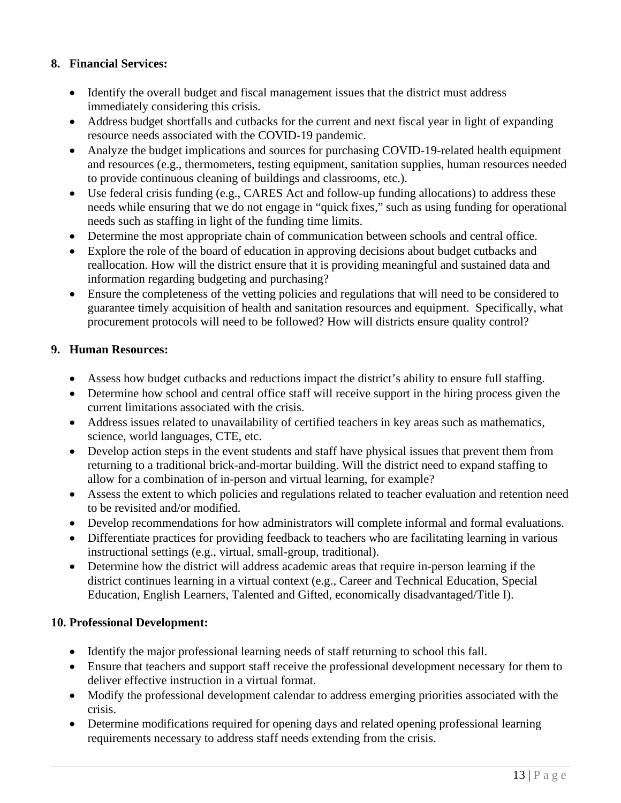# **8. Financial Services:**

- Identify the overall budget and fiscal management issues that the district must address immediately considering this crisis.
- Address budget shortfalls and cutbacks for the current and next fiscal year in light of expanding resource needs associated with the COVID-19 pandemic.
- Analyze the budget implications and sources for purchasing COVID-19-related health equipment and resources (e.g., thermometers, testing equipment, sanitation supplies, human resources needed to provide continuous cleaning of buildings and classrooms, etc.).
- Use federal crisis funding (e.g., CARES Act and follow-up funding allocations) to address these needs while ensuring that we do not engage in "quick fixes," such as using funding for operational needs such as staffing in light of the funding time limits.
- Determine the most appropriate chain of communication between schools and central office.
- Explore the role of the board of education in approving decisions about budget cutbacks and reallocation. How will the district ensure that it is providing meaningful and sustained data and information regarding budgeting and purchasing?
- Ensure the completeness of the vetting policies and regulations that will need to be considered to guarantee timely acquisition of health and sanitation resources and equipment. Specifically, what procurement protocols will need to be followed? How will districts ensure quality control?

## **9. Human Resources:**

- Assess how budget cutbacks and reductions impact the district's ability to ensure full staffing.
- Determine how school and central office staff will receive support in the hiring process given the current limitations associated with the crisis.
- Address issues related to unavailability of certified teachers in key areas such as mathematics, science, world languages, CTE, etc.
- Develop action steps in the event students and staff have physical issues that prevent them from returning to a traditional brick-and-mortar building. Will the district need to expand staffing to allow for a combination of in-person and virtual learning, for example?
- Assess the extent to which policies and regulations related to teacher evaluation and retention need to be revisited and/or modified.
- Develop recommendations for how administrators will complete informal and formal evaluations.
- Differentiate practices for providing feedback to teachers who are facilitating learning in various instructional settings (e.g., virtual, small-group, traditional).
- Determine how the district will address academic areas that require in-person learning if the district continues learning in a virtual context (e.g., Career and Technical Education, Special Education, English Learners, Talented and Gifted, economically disadvantaged/Title I).

## **10. Professional Development:**

- Identify the major professional learning needs of staff returning to school this fall.
- Ensure that teachers and support staff receive the professional development necessary for them to deliver effective instruction in a virtual format.
- Modify the professional development calendar to address emerging priorities associated with the crisis.
- Determine modifications required for opening days and related opening professional learning requirements necessary to address staff needs extending from the crisis.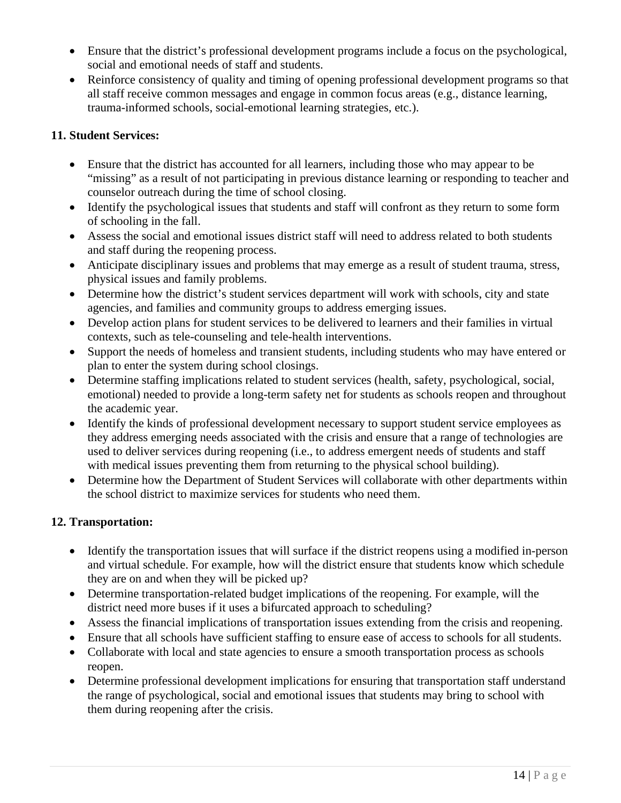- Ensure that the district's professional development programs include a focus on the psychological, social and emotional needs of staff and students.
- Reinforce consistency of quality and timing of opening professional development programs so that all staff receive common messages and engage in common focus areas (e.g., distance learning, trauma-informed schools, social-emotional learning strategies, etc.).

# **11. Student Services:**

- Ensure that the district has accounted for all learners, including those who may appear to be "missing" as a result of not participating in previous distance learning or responding to teacher and counselor outreach during the time of school closing.
- Identify the psychological issues that students and staff will confront as they return to some form of schooling in the fall.
- Assess the social and emotional issues district staff will need to address related to both students and staff during the reopening process.
- Anticipate disciplinary issues and problems that may emerge as a result of student trauma, stress, physical issues and family problems.
- Determine how the district's student services department will work with schools, city and state agencies, and families and community groups to address emerging issues.
- Develop action plans for student services to be delivered to learners and their families in virtual contexts, such as tele-counseling and tele-health interventions.
- Support the needs of homeless and transient students, including students who may have entered or plan to enter the system during school closings.
- Determine staffing implications related to student services (health, safety, psychological, social, emotional) needed to provide a long-term safety net for students as schools reopen and throughout the academic year.
- Identify the kinds of professional development necessary to support student service employees as they address emerging needs associated with the crisis and ensure that a range of technologies are used to deliver services during reopening (i.e., to address emergent needs of students and staff with medical issues preventing them from returning to the physical school building).
- Determine how the Department of Student Services will collaborate with other departments within the school district to maximize services for students who need them.

# **12. Transportation:**

- Identify the transportation issues that will surface if the district reopens using a modified in-person and virtual schedule. For example, how will the district ensure that students know which schedule they are on and when they will be picked up?
- Determine transportation-related budget implications of the reopening. For example, will the district need more buses if it uses a bifurcated approach to scheduling?
- Assess the financial implications of transportation issues extending from the crisis and reopening.
- Ensure that all schools have sufficient staffing to ensure ease of access to schools for all students.
- Collaborate with local and state agencies to ensure a smooth transportation process as schools reopen.
- Determine professional development implications for ensuring that transportation staff understand the range of psychological, social and emotional issues that students may bring to school with them during reopening after the crisis.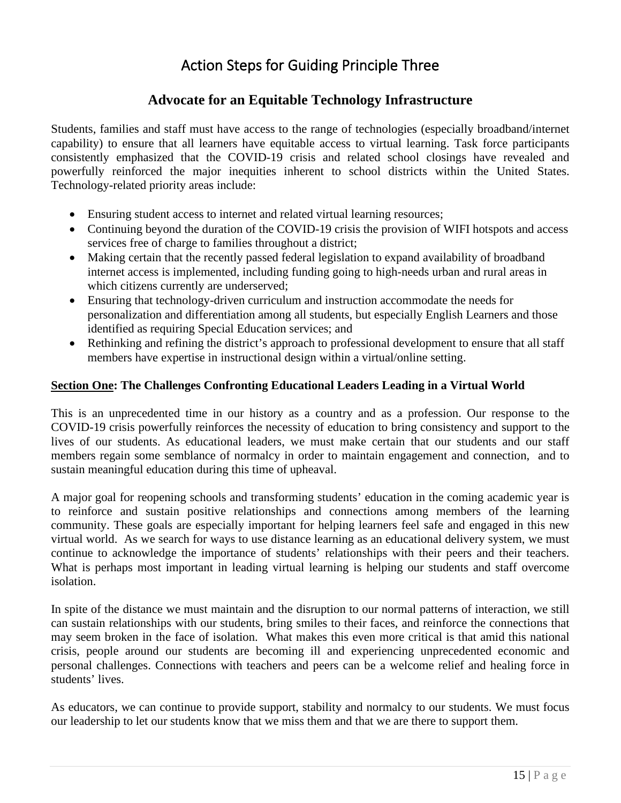# Action Steps for Guiding Principle Three

# **Advocate for an Equitable Technology Infrastructure**

<span id="page-14-0"></span>Students, families and staff must have access to the range of technologies (especially broadband/internet capability) to ensure that all learners have equitable access to virtual learning. Task force participants consistently emphasized that the COVID-19 crisis and related school closings have revealed and powerfully reinforced the major inequities inherent to school districts within the United States. Technology-related priority areas include:

- Ensuring student access to internet and related virtual learning resources;
- Continuing beyond the duration of the COVID-19 crisis the provision of WIFI hotspots and access services free of charge to families throughout a district;
- Making certain that the recently passed federal legislation to expand availability of broadband internet access is implemented, including funding going to high-needs urban and rural areas in which citizens currently are underserved;
- Ensuring that technology-driven curriculum and instruction accommodate the needs for personalization and differentiation among all students, but especially English Learners and those identified as requiring Special Education services; and
- Rethinking and refining the district's approach to professional development to ensure that all staff members have expertise in instructional design within a virtual/online setting.

#### <span id="page-14-1"></span>**Section One: The Challenges Confronting Educational Leaders Leading in a Virtual World**

This is an unprecedented time in our history as a country and as a profession. Our response to the COVID-19 crisis powerfully reinforces the necessity of education to bring consistency and support to the lives of our students. As educational leaders, we must make certain that our students and our staff members regain some semblance of normalcy in order to maintain engagement and connection, and to sustain meaningful education during this time of upheaval.

A major goal for reopening schools and transforming students' education in the coming academic year is to reinforce and sustain positive relationships and connections among members of the learning community. These goals are especially important for helping learners feel safe and engaged in this new virtual world. As we search for ways to use distance learning as an educational delivery system, we must continue to acknowledge the importance of students' relationships with their peers and their teachers. What is perhaps most important in leading virtual learning is helping our students and staff overcome isolation.

In spite of the distance we must maintain and the disruption to our normal patterns of interaction, we still can sustain relationships with our students, bring smiles to their faces, and reinforce the connections that may seem broken in the face of isolation. What makes this even more critical is that amid this national crisis, people around our students are becoming ill and experiencing unprecedented economic and personal challenges. Connections with teachers and peers can be a welcome relief and healing force in students' lives.

As educators, we can continue to provide support, stability and normalcy to our students. We must focus our leadership to let our students know that we miss them and that we are there to support them.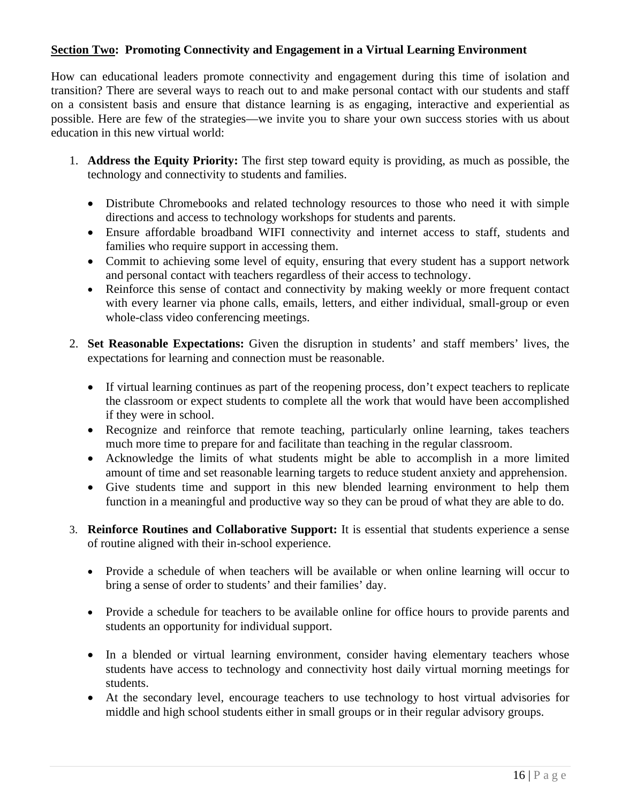# <span id="page-15-0"></span>**Section Two: Promoting Connectivity and Engagement in a Virtual Learning Environment**

How can educational leaders promote connectivity and engagement during this time of isolation and transition? There are several ways to reach out to and make personal contact with our students and staff on a consistent basis and ensure that distance learning is as engaging, interactive and experiential as possible. Here are few of the strategies—we invite you to share your own success stories with us about education in this new virtual world:

- 1. **Address the Equity Priority:** The first step toward equity is providing, as much as possible, the technology and connectivity to students and families.
	- Distribute Chromebooks and related technology resources to those who need it with simple directions and access to technology workshops for students and parents.
	- Ensure affordable broadband WIFI connectivity and internet access to staff, students and families who require support in accessing them.
	- Commit to achieving some level of equity, ensuring that every student has a support network and personal contact with teachers regardless of their access to technology.
	- Reinforce this sense of contact and connectivity by making weekly or more frequent contact with every learner via phone calls, emails, letters, and either individual, small-group or even whole-class video conferencing meetings.
- 2. **Set Reasonable Expectations:** Given the disruption in students' and staff members' lives, the expectations for learning and connection must be reasonable.
	- If virtual learning continues as part of the reopening process, don't expect teachers to replicate the classroom or expect students to complete all the work that would have been accomplished if they were in school.
	- Recognize and reinforce that remote teaching, particularly online learning, takes teachers much more time to prepare for and facilitate than teaching in the regular classroom.
	- Acknowledge the limits of what students might be able to accomplish in a more limited amount of time and set reasonable learning targets to reduce student anxiety and apprehension.
	- Give students time and support in this new blended learning environment to help them function in a meaningful and productive way so they can be proud of what they are able to do.
- 3. **Reinforce Routines and Collaborative Support:** It is essential that students experience a sense of routine aligned with their in-school experience.
	- Provide a schedule of when teachers will be available or when online learning will occur to bring a sense of order to students' and their families' day.
	- Provide a schedule for teachers to be available online for office hours to provide parents and students an opportunity for individual support.
	- In a blended or virtual learning environment, consider having elementary teachers whose students have access to technology and connectivity host daily virtual morning meetings for students.
	- At the secondary level, encourage teachers to use technology to host virtual advisories for middle and high school students either in small groups or in their regular advisory groups.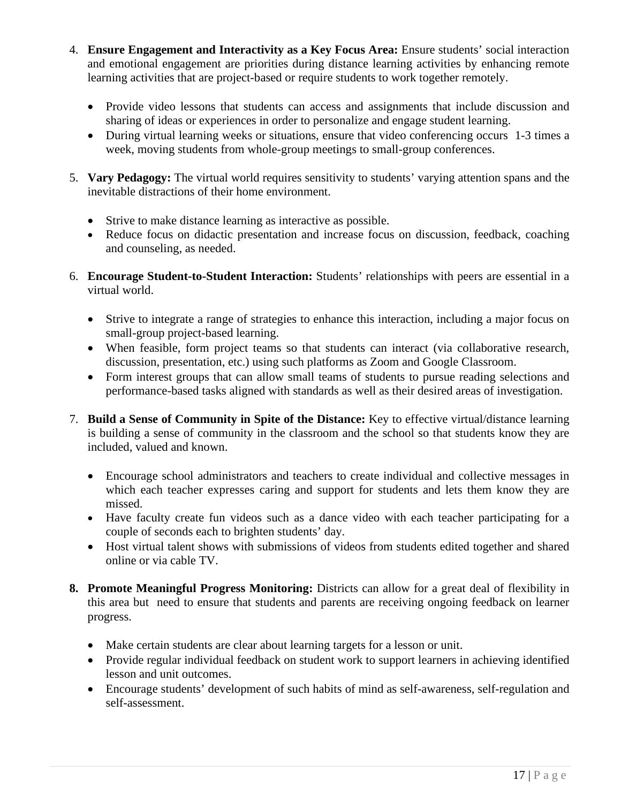- 4. **Ensure Engagement and Interactivity as a Key Focus Area:** Ensure students' social interaction and emotional engagement are priorities during distance learning activities by enhancing remote learning activities that are project-based or require students to work together remotely.
	- Provide video lessons that students can access and assignments that include discussion and sharing of ideas or experiences in order to personalize and engage student learning.
	- During virtual learning weeks or situations, ensure that video conferencing occurs 1-3 times a week, moving students from whole-group meetings to small-group conferences.
- 5. **Vary Pedagogy:** The virtual world requires sensitivity to students' varying attention spans and the inevitable distractions of their home environment.
	- Strive to make distance learning as interactive as possible.
	- Reduce focus on didactic presentation and increase focus on discussion, feedback, coaching and counseling, as needed.
- 6. **Encourage Student-to-Student Interaction:** Students' relationships with peers are essential in a virtual world.
	- Strive to integrate a range of strategies to enhance this interaction, including a major focus on small-group project-based learning.
	- When feasible, form project teams so that students can interact (via collaborative research, discussion, presentation, etc.) using such platforms as Zoom and Google Classroom.
	- Form interest groups that can allow small teams of students to pursue reading selections and performance-based tasks aligned with standards as well as their desired areas of investigation.
- 7. **Build a Sense of Community in Spite of the Distance:** Key to effective virtual/distance learning is building a sense of community in the classroom and the school so that students know they are included, valued and known.
	- Encourage school administrators and teachers to create individual and collective messages in which each teacher expresses caring and support for students and lets them know they are missed.
	- Have faculty create fun videos such as a dance video with each teacher participating for a couple of seconds each to brighten students' day.
	- Host virtual talent shows with submissions of videos from students edited together and shared online or via cable TV.
- **8. Promote Meaningful Progress Monitoring:** Districts can allow for a great deal of flexibility in this area but need to ensure that students and parents are receiving ongoing feedback on learner progress.
	- Make certain students are clear about learning targets for a lesson or unit.
	- Provide regular individual feedback on student work to support learners in achieving identified lesson and unit outcomes.
	- Encourage students' development of such habits of mind as self-awareness, self-regulation and self-assessment.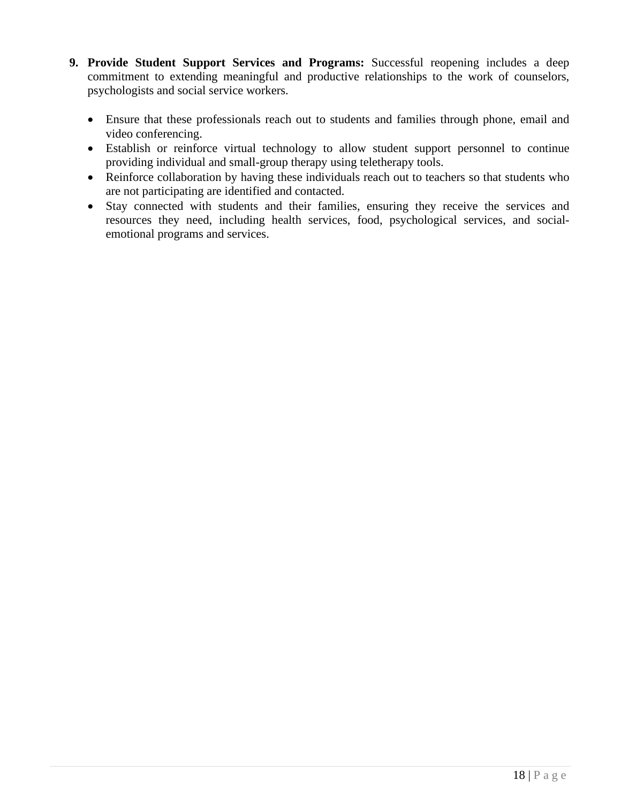- **9. Provide Student Support Services and Programs:** Successful reopening includes a deep commitment to extending meaningful and productive relationships to the work of counselors, psychologists and social service workers.
	- Ensure that these professionals reach out to students and families through phone, email and video conferencing.
	- Establish or reinforce virtual technology to allow student support personnel to continue providing individual and small-group therapy using teletherapy tools.
	- Reinforce collaboration by having these individuals reach out to teachers so that students who are not participating are identified and contacted.
	- Stay connected with students and their families, ensuring they receive the services and resources they need, including health services, food, psychological services, and socialemotional programs and services.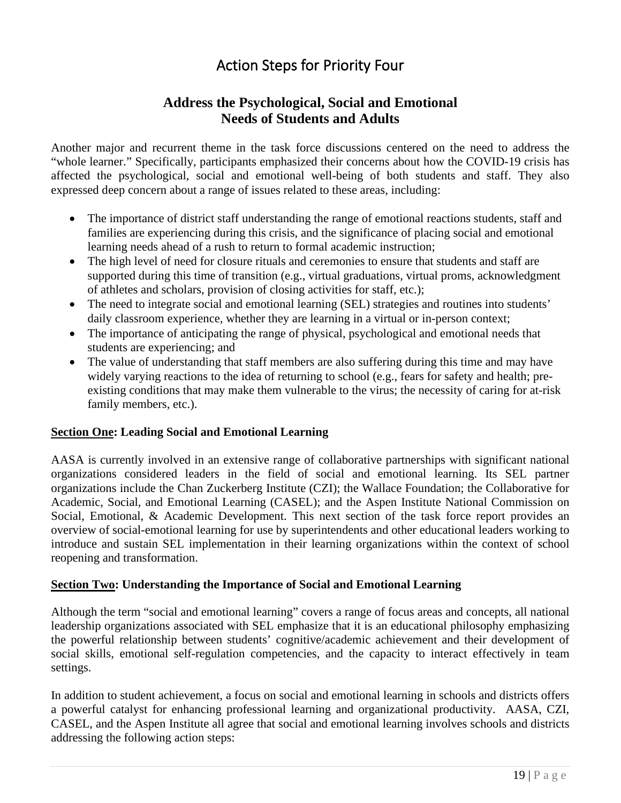# Action Steps for Priority Four

# **Address the Psychological, Social and Emotional Needs of Students and Adults**

<span id="page-18-0"></span>Another major and recurrent theme in the task force discussions centered on the need to address the "whole learner." Specifically, participants emphasized their concerns about how the COVID-19 crisis has affected the psychological, social and emotional well-being of both students and staff. They also expressed deep concern about a range of issues related to these areas, including:

- The importance of district staff understanding the range of emotional reactions students, staff and families are experiencing during this crisis, and the significance of placing social and emotional learning needs ahead of a rush to return to formal academic instruction;
- The high level of need for closure rituals and ceremonies to ensure that students and staff are supported during this time of transition (e.g., virtual graduations, virtual proms, acknowledgment of athletes and scholars, provision of closing activities for staff, etc.);
- The need to integrate social and emotional learning (SEL) strategies and routines into students' daily classroom experience, whether they are learning in a virtual or in-person context;
- The importance of anticipating the range of physical, psychological and emotional needs that students are experiencing; and
- The value of understanding that staff members are also suffering during this time and may have widely varying reactions to the idea of returning to school (e.g., fears for safety and health; preexisting conditions that may make them vulnerable to the virus; the necessity of caring for at-risk family members, etc.).

# <span id="page-18-1"></span>**Section One: Leading Social and Emotional Learning**

AASA is currently involved in an extensive range of collaborative partnerships with significant national organizations considered leaders in the field of social and emotional learning. Its SEL partner organizations include the Chan Zuckerberg Institute (CZI); the Wallace Foundation; the Collaborative for Academic, Social, and Emotional Learning (CASEL); and the Aspen Institute National Commission on Social, Emotional, & Academic Development. This next section of the task force report provides an overview of social-emotional learning for use by superintendents and other educational leaders working to introduce and sustain SEL implementation in their learning organizations within the context of school reopening and transformation.

## <span id="page-18-2"></span>**Section Two: Understanding the Importance of Social and Emotional Learning**

Although the term "social and emotional learning" covers a range of focus areas and concepts, all national leadership organizations associated with SEL emphasize that it is an educational philosophy emphasizing the powerful relationship between students' cognitive/academic achievement and their development of social skills, emotional self-regulation competencies, and the capacity to interact effectively in team settings.

In addition to student achievement, a focus on social and emotional learning in schools and districts offers a powerful catalyst for enhancing professional learning and organizational productivity. AASA, CZI, CASEL, and the Aspen Institute all agree that social and emotional learning involves schools and districts addressing the following action steps: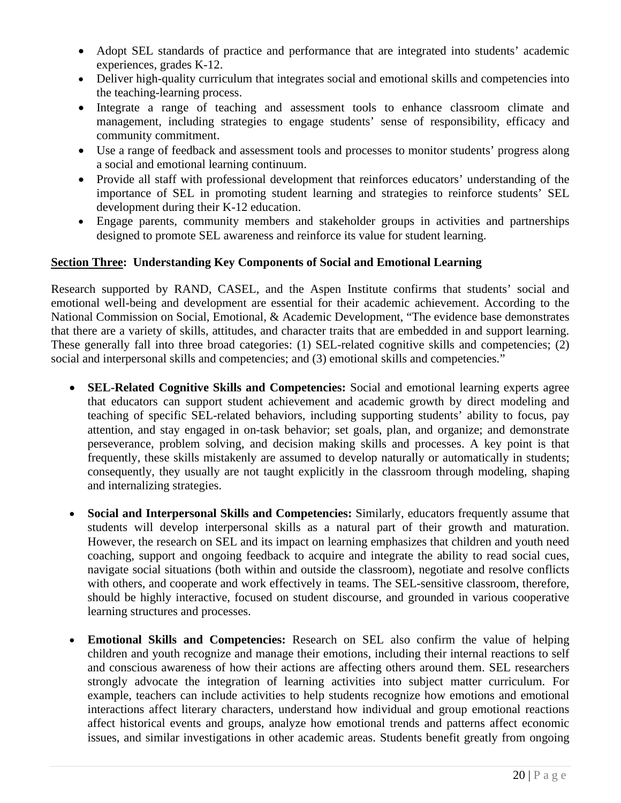- Adopt SEL standards of practice and performance that are integrated into students' academic experiences, grades K-12.
- Deliver high-quality curriculum that integrates social and emotional skills and competencies into the teaching-learning process.
- Integrate a range of teaching and assessment tools to enhance classroom climate and management, including strategies to engage students' sense of responsibility, efficacy and community commitment.
- Use a range of feedback and assessment tools and processes to monitor students' progress along a social and emotional learning continuum.
- Provide all staff with professional development that reinforces educators' understanding of the importance of SEL in promoting student learning and strategies to reinforce students' SEL development during their K-12 education.
- Engage parents, community members and stakeholder groups in activities and partnerships designed to promote SEL awareness and reinforce its value for student learning.

## <span id="page-19-0"></span>**Section Three: Understanding Key Components of Social and Emotional Learning**

Research supported by RAND, CASEL, and the Aspen Institute confirms that students' social and emotional well-being and development are essential for their academic achievement. According to the National Commission on Social, Emotional, & Academic Development, "The evidence base demonstrates that there are a variety of skills, attitudes, and character traits that are embedded in and support learning. These generally fall into three broad categories: (1) SEL-related cognitive skills and competencies; (2) social and interpersonal skills and competencies; and (3) emotional skills and competencies."

- **SEL-Related Cognitive Skills and Competencies:** Social and emotional learning experts agree that educators can support student achievement and academic growth by direct modeling and teaching of specific SEL-related behaviors, including supporting students' ability to focus, pay attention, and stay engaged in on-task behavior; set goals, plan, and organize; and demonstrate perseverance, problem solving, and decision making skills and processes. A key point is that frequently, these skills mistakenly are assumed to develop naturally or automatically in students; consequently, they usually are not taught explicitly in the classroom through modeling, shaping and internalizing strategies.
- **Social and Interpersonal Skills and Competencies:** Similarly, educators frequently assume that students will develop interpersonal skills as a natural part of their growth and maturation. However, the research on SEL and its impact on learning emphasizes that children and youth need coaching, support and ongoing feedback to acquire and integrate the ability to read social cues, navigate social situations (both within and outside the classroom), negotiate and resolve conflicts with others, and cooperate and work effectively in teams. The SEL-sensitive classroom, therefore, should be highly interactive, focused on student discourse, and grounded in various cooperative learning structures and processes.
- **Emotional Skills and Competencies:** Research on SEL also confirm the value of helping children and youth recognize and manage their emotions, including their internal reactions to self and conscious awareness of how their actions are affecting others around them. SEL researchers strongly advocate the integration of learning activities into subject matter curriculum. For example, teachers can include activities to help students recognize how emotions and emotional interactions affect literary characters, understand how individual and group emotional reactions affect historical events and groups, analyze how emotional trends and patterns affect economic issues, and similar investigations in other academic areas. Students benefit greatly from ongoing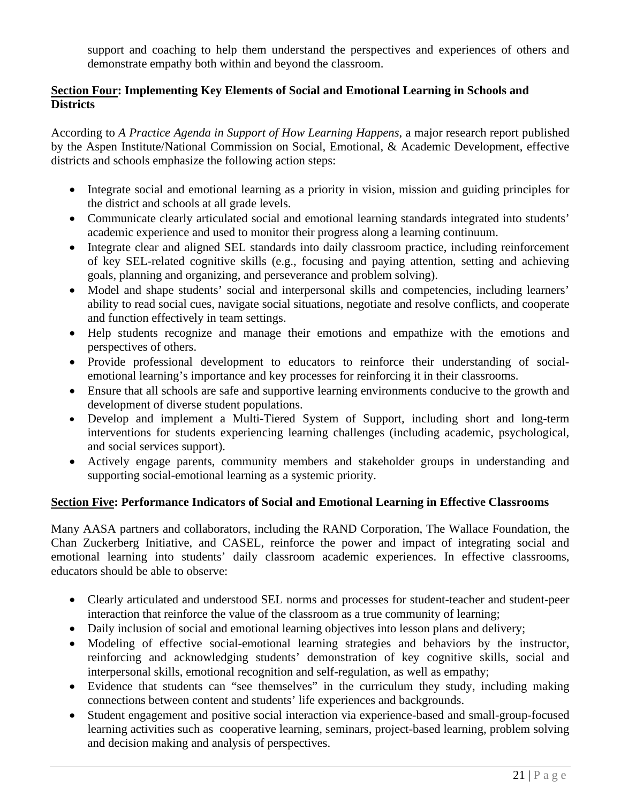support and coaching to help them understand the perspectives and experiences of others and demonstrate empathy both within and beyond the classroom.

#### <span id="page-20-0"></span>**Section Four: Implementing Key Elements of Social and Emotional Learning in Schools and Districts**

According to *A Practice Agenda in Support of How Learning Happens*, a major research report published by the Aspen Institute/National Commission on Social, Emotional, & Academic Development, effective districts and schools emphasize the following action steps:

- Integrate social and emotional learning as a priority in vision, mission and guiding principles for the district and schools at all grade levels.
- Communicate clearly articulated social and emotional learning standards integrated into students' academic experience and used to monitor their progress along a learning continuum.
- Integrate clear and aligned SEL standards into daily classroom practice, including reinforcement of key SEL-related cognitive skills (e.g., focusing and paying attention, setting and achieving goals, planning and organizing, and perseverance and problem solving).
- Model and shape students' social and interpersonal skills and competencies, including learners' ability to read social cues, navigate social situations, negotiate and resolve conflicts, and cooperate and function effectively in team settings.
- Help students recognize and manage their emotions and empathize with the emotions and perspectives of others.
- Provide professional development to educators to reinforce their understanding of socialemotional learning's importance and key processes for reinforcing it in their classrooms.
- Ensure that all schools are safe and supportive learning environments conducive to the growth and development of diverse student populations.
- Develop and implement a Multi-Tiered System of Support, including short and long-term interventions for students experiencing learning challenges (including academic, psychological, and social services support).
- Actively engage parents, community members and stakeholder groups in understanding and supporting social-emotional learning as a systemic priority.

## <span id="page-20-1"></span>**Section Five: Performance Indicators of Social and Emotional Learning in Effective Classrooms**

Many AASA partners and collaborators, including the RAND Corporation, The Wallace Foundation, the Chan Zuckerberg Initiative, and CASEL, reinforce the power and impact of integrating social and emotional learning into students' daily classroom academic experiences. In effective classrooms, educators should be able to observe:

- Clearly articulated and understood SEL norms and processes for student-teacher and student-peer interaction that reinforce the value of the classroom as a true community of learning;
- Daily inclusion of social and emotional learning objectives into lesson plans and delivery;
- Modeling of effective social-emotional learning strategies and behaviors by the instructor, reinforcing and acknowledging students' demonstration of key cognitive skills, social and interpersonal skills, emotional recognition and self-regulation, as well as empathy;
- Evidence that students can "see themselves" in the curriculum they study, including making connections between content and students' life experiences and backgrounds.
- Student engagement and positive social interaction via experience-based and small-group-focused learning activities such as cooperative learning, seminars, project-based learning, problem solving and decision making and analysis of perspectives.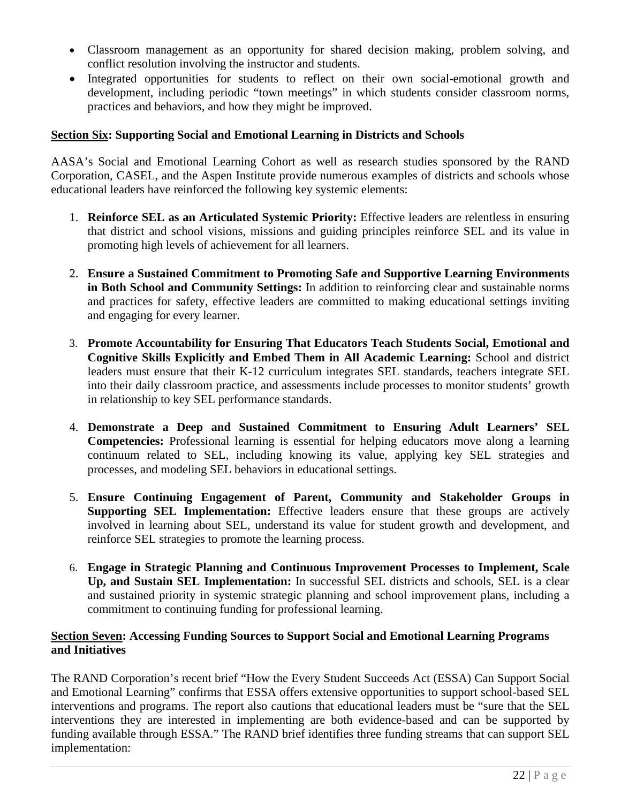- Classroom management as an opportunity for shared decision making, problem solving, and conflict resolution involving the instructor and students.
- Integrated opportunities for students to reflect on their own social-emotional growth and development, including periodic "town meetings" in which students consider classroom norms, practices and behaviors, and how they might be improved.

## <span id="page-21-0"></span>**Section Six: Supporting Social and Emotional Learning in Districts and Schools**

AASA's Social and Emotional Learning Cohort as well as research studies sponsored by the RAND Corporation, CASEL, and the Aspen Institute provide numerous examples of districts and schools whose educational leaders have reinforced the following key systemic elements:

- 1. **Reinforce SEL as an Articulated Systemic Priority:** Effective leaders are relentless in ensuring that district and school visions, missions and guiding principles reinforce SEL and its value in promoting high levels of achievement for all learners.
- 2. **Ensure a Sustained Commitment to Promoting Safe and Supportive Learning Environments in Both School and Community Settings:** In addition to reinforcing clear and sustainable norms and practices for safety, effective leaders are committed to making educational settings inviting and engaging for every learner.
- 3. **Promote Accountability for Ensuring That Educators Teach Students Social, Emotional and Cognitive Skills Explicitly and Embed Them in All Academic Learning:** School and district leaders must ensure that their K-12 curriculum integrates SEL standards, teachers integrate SEL into their daily classroom practice, and assessments include processes to monitor students' growth in relationship to key SEL performance standards.
- 4. **Demonstrate a Deep and Sustained Commitment to Ensuring Adult Learners' SEL Competencies:** Professional learning is essential for helping educators move along a learning continuum related to SEL, including knowing its value, applying key SEL strategies and processes, and modeling SEL behaviors in educational settings.
- 5. **Ensure Continuing Engagement of Parent, Community and Stakeholder Groups in Supporting SEL Implementation:** Effective leaders ensure that these groups are actively involved in learning about SEL, understand its value for student growth and development, and reinforce SEL strategies to promote the learning process.
- 6. **Engage in Strategic Planning and Continuous Improvement Processes to Implement, Scale Up, and Sustain SEL Implementation:** In successful SEL districts and schools, SEL is a clear and sustained priority in systemic strategic planning and school improvement plans, including a commitment to continuing funding for professional learning.

#### <span id="page-21-1"></span>**Section Seven: Accessing Funding Sources to Support Social and Emotional Learning Programs and Initiatives**

The RAND Corporation's recent brief "How the Every Student Succeeds Act (ESSA) Can Support Social and Emotional Learning" confirms that ESSA offers extensive opportunities to support school-based SEL interventions and programs. The report also cautions that educational leaders must be "sure that the SEL interventions they are interested in implementing are both evidence-based and can be supported by funding available through ESSA." The RAND brief identifies three funding streams that can support SEL implementation: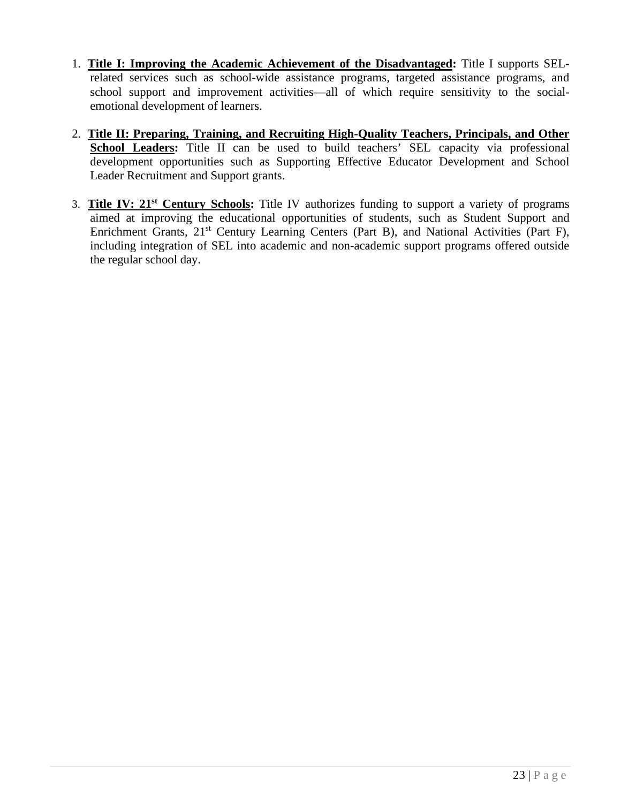- 1. **Title I: Improving the Academic Achievement of the Disadvantaged:** Title I supports SELrelated services such as school-wide assistance programs, targeted assistance programs, and school support and improvement activities—all of which require sensitivity to the socialemotional development of learners.
- 2. **Title II: Preparing, Training, and Recruiting High-Quality Teachers, Principals, and Other**  School Leaders: Title II can be used to build teachers' SEL capacity via professional development opportunities such as Supporting Effective Educator Development and School Leader Recruitment and Support grants.
- 3. **Title IV: 21st Century Schools:** Title IV authorizes funding to support a variety of programs aimed at improving the educational opportunities of students, such as Student Support and Enrichment Grants, 21<sup>st</sup> Century Learning Centers (Part B), and National Activities (Part F), including integration of SEL into academic and non-academic support programs offered outside the regular school day.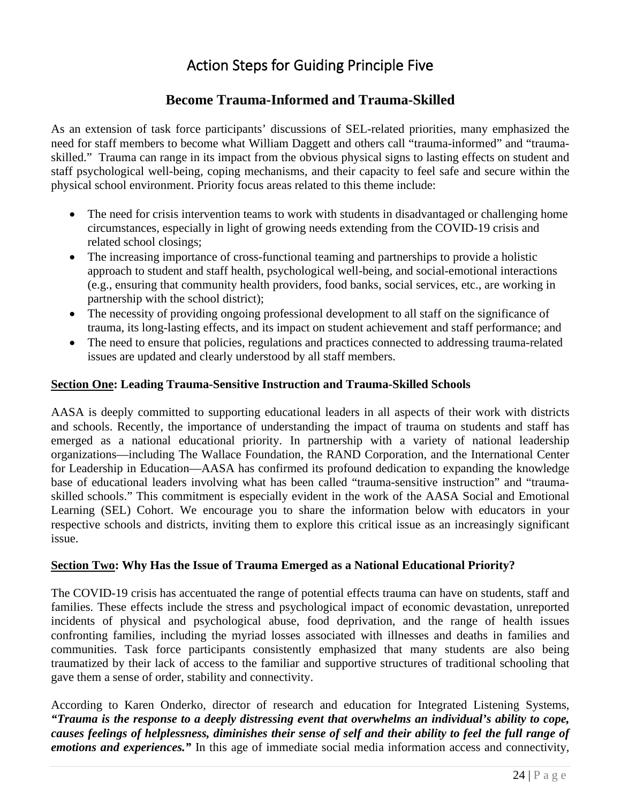# Action Steps for Guiding Principle Five

# **Become Trauma-Informed and Trauma-Skilled**

<span id="page-23-0"></span>As an extension of task force participants' discussions of SEL-related priorities, many emphasized the need for staff members to become what William Daggett and others call "trauma-informed" and "traumaskilled." Trauma can range in its impact from the obvious physical signs to lasting effects on student and staff psychological well-being, coping mechanisms, and their capacity to feel safe and secure within the physical school environment. Priority focus areas related to this theme include:

- The need for crisis intervention teams to work with students in disadvantaged or challenging home circumstances, especially in light of growing needs extending from the COVID-19 crisis and related school closings;
- The increasing importance of cross-functional teaming and partnerships to provide a holistic approach to student and staff health, psychological well-being, and social-emotional interactions (e.g., ensuring that community health providers, food banks, social services, etc., are working in partnership with the school district);
- The necessity of providing ongoing professional development to all staff on the significance of trauma, its long-lasting effects, and its impact on student achievement and staff performance; and
- The need to ensure that policies, regulations and practices connected to addressing trauma-related issues are updated and clearly understood by all staff members.

## <span id="page-23-1"></span>**Section One: Leading Trauma-Sensitive Instruction and Trauma-Skilled Schools**

AASA is deeply committed to supporting educational leaders in all aspects of their work with districts and schools. Recently, the importance of understanding the impact of trauma on students and staff has emerged as a national educational priority. In partnership with a variety of national leadership organizations—including The Wallace Foundation, the RAND Corporation, and the International Center for Leadership in Education—AASA has confirmed its profound dedication to expanding the knowledge base of educational leaders involving what has been called "trauma-sensitive instruction" and "traumaskilled schools." This commitment is especially evident in the work of the AASA Social and Emotional Learning (SEL) Cohort. We encourage you to share the information below with educators in your respective schools and districts, inviting them to explore this critical issue as an increasingly significant issue.

## <span id="page-23-2"></span>**Section Two: Why Has the Issue of Trauma Emerged as a National Educational Priority?**

The COVID-19 crisis has accentuated the range of potential effects trauma can have on students, staff and families. These effects include the stress and psychological impact of economic devastation, unreported incidents of physical and psychological abuse, food deprivation, and the range of health issues confronting families, including the myriad losses associated with illnesses and deaths in families and communities. Task force participants consistently emphasized that many students are also being traumatized by their lack of access to the familiar and supportive structures of traditional schooling that gave them a sense of order, stability and connectivity.

According to Karen Onderko, director of research and education for Integrated Listening Systems, *"Trauma is the response to a deeply distressing event that overwhelms an individual's ability to cope, causes feelings of helplessness, diminishes their sense of self and their ability to feel the full range of emotions and experiences."* In this age of immediate social media information access and connectivity,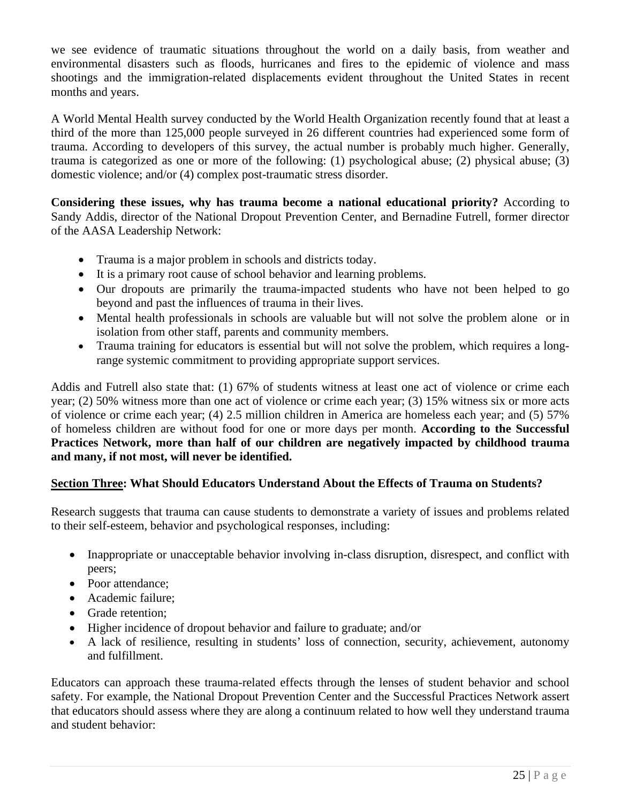we see evidence of traumatic situations throughout the world on a daily basis, from weather and environmental disasters such as floods, hurricanes and fires to the epidemic of violence and mass shootings and the immigration-related displacements evident throughout the United States in recent months and years.

A World Mental Health survey conducted by the World Health Organization recently found that at least a third of the more than 125,000 people surveyed in 26 different countries had experienced some form of trauma. According to developers of this survey, the actual number is probably much higher. Generally, trauma is categorized as one or more of the following: (1) psychological abuse; (2) physical abuse; (3) domestic violence; and/or (4) complex post-traumatic stress disorder.

**Considering these issues, why has trauma become a national educational priority?** According to Sandy Addis, director of the National Dropout Prevention Center, and Bernadine Futrell, former director of the AASA Leadership Network:

- Trauma is a major problem in schools and districts today.
- It is a primary root cause of school behavior and learning problems.
- Our dropouts are primarily the trauma-impacted students who have not been helped to go beyond and past the influences of trauma in their lives.
- Mental health professionals in schools are valuable but will not solve the problem alone or in isolation from other staff, parents and community members.
- Trauma training for educators is essential but will not solve the problem, which requires a longrange systemic commitment to providing appropriate support services.

Addis and Futrell also state that: (1) 67% of students witness at least one act of violence or crime each year; (2) 50% witness more than one act of violence or crime each year; (3) 15% witness six or more acts of violence or crime each year; (4) 2.5 million children in America are homeless each year; and (5) 57% of homeless children are without food for one or more days per month. **According to the Successful Practices Network, more than half of our children are negatively impacted by childhood trauma and many, if not most, will never be identified.**

## <span id="page-24-0"></span>**Section Three: What Should Educators Understand About the Effects of Trauma on Students?**

Research suggests that trauma can cause students to demonstrate a variety of issues and problems related to their self-esteem, behavior and psychological responses, including:

- Inappropriate or unacceptable behavior involving in-class disruption, disrespect, and conflict with peers;
- Poor attendance:
- Academic failure;
- Grade retention:
- Higher incidence of dropout behavior and failure to graduate; and/or
- A lack of resilience, resulting in students' loss of connection, security, achievement, autonomy and fulfillment.

Educators can approach these trauma-related effects through the lenses of student behavior and school safety. For example, the National Dropout Prevention Center and the Successful Practices Network assert that educators should assess where they are along a continuum related to how well they understand trauma and student behavior: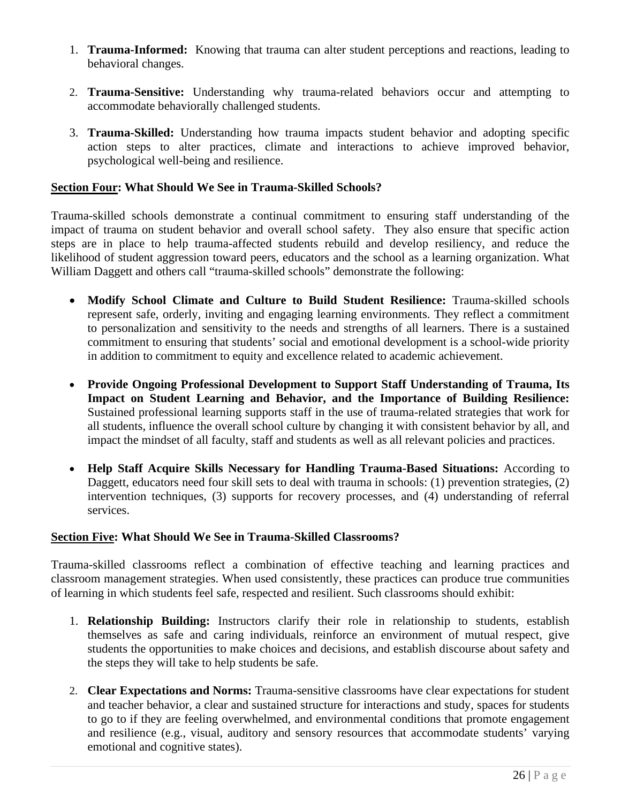- 1. **Trauma-Informed:** Knowing that trauma can alter student perceptions and reactions, leading to behavioral changes.
- 2. **Trauma-Sensitive:** Understanding why trauma-related behaviors occur and attempting to accommodate behaviorally challenged students.
- 3. **Trauma-Skilled:** Understanding how trauma impacts student behavior and adopting specific action steps to alter practices, climate and interactions to achieve improved behavior, psychological well-being and resilience.

#### <span id="page-25-0"></span>**Section Four: What Should We See in Trauma-Skilled Schools?**

Trauma-skilled schools demonstrate a continual commitment to ensuring staff understanding of the impact of trauma on student behavior and overall school safety. They also ensure that specific action steps are in place to help trauma-affected students rebuild and develop resiliency, and reduce the likelihood of student aggression toward peers, educators and the school as a learning organization. What William Daggett and others call "trauma-skilled schools" demonstrate the following:

- **Modify School Climate and Culture to Build Student Resilience:** Trauma-skilled schools represent safe, orderly, inviting and engaging learning environments. They reflect a commitment to personalization and sensitivity to the needs and strengths of all learners. There is a sustained commitment to ensuring that students' social and emotional development is a school-wide priority in addition to commitment to equity and excellence related to academic achievement.
- **Provide Ongoing Professional Development to Support Staff Understanding of Trauma, Its Impact on Student Learning and Behavior, and the Importance of Building Resilience:**  Sustained professional learning supports staff in the use of trauma-related strategies that work for all students, influence the overall school culture by changing it with consistent behavior by all, and impact the mindset of all faculty, staff and students as well as all relevant policies and practices.
- **Help Staff Acquire Skills Necessary for Handling Trauma-Based Situations:** According to Daggett, educators need four skill sets to deal with trauma in schools: (1) prevention strategies, (2) intervention techniques, (3) supports for recovery processes, and (4) understanding of referral services.

#### <span id="page-25-1"></span>**Section Five: What Should We See in Trauma-Skilled Classrooms?**

Trauma-skilled classrooms reflect a combination of effective teaching and learning practices and classroom management strategies. When used consistently, these practices can produce true communities of learning in which students feel safe, respected and resilient. Such classrooms should exhibit:

- 1. **Relationship Building:** Instructors clarify their role in relationship to students, establish themselves as safe and caring individuals, reinforce an environment of mutual respect, give students the opportunities to make choices and decisions, and establish discourse about safety and the steps they will take to help students be safe.
- 2. **Clear Expectations and Norms:** Trauma-sensitive classrooms have clear expectations for student and teacher behavior, a clear and sustained structure for interactions and study, spaces for students to go to if they are feeling overwhelmed, and environmental conditions that promote engagement and resilience (e.g., visual, auditory and sensory resources that accommodate students' varying emotional and cognitive states).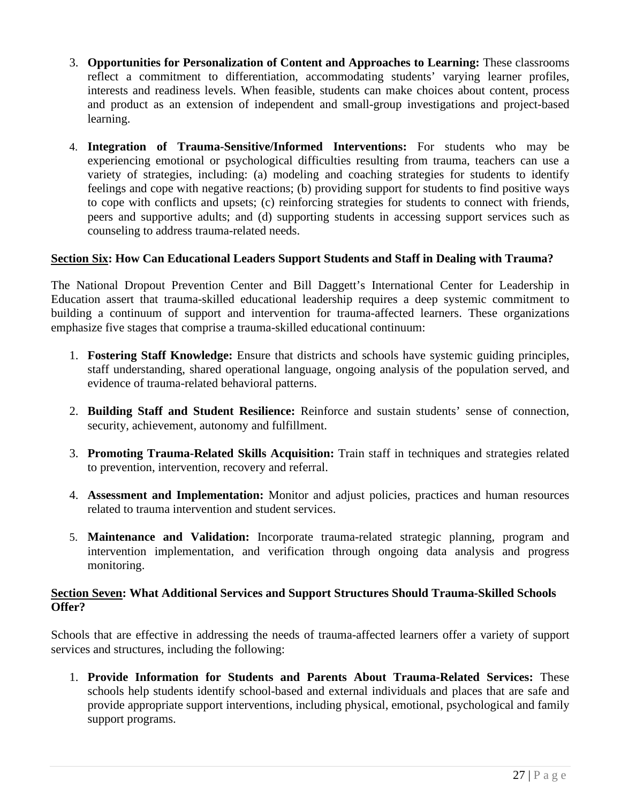- 3. **Opportunities for Personalization of Content and Approaches to Learning:** These classrooms reflect a commitment to differentiation, accommodating students' varying learner profiles, interests and readiness levels. When feasible, students can make choices about content, process and product as an extension of independent and small-group investigations and project-based learning.
- 4. **Integration of Trauma-Sensitive/Informed Interventions:** For students who may be experiencing emotional or psychological difficulties resulting from trauma, teachers can use a variety of strategies, including: (a) modeling and coaching strategies for students to identify feelings and cope with negative reactions; (b) providing support for students to find positive ways to cope with conflicts and upsets; (c) reinforcing strategies for students to connect with friends, peers and supportive adults; and (d) supporting students in accessing support services such as counseling to address trauma-related needs.

#### <span id="page-26-0"></span>**Section Six: How Can Educational Leaders Support Students and Staff in Dealing with Trauma?**

The National Dropout Prevention Center and Bill Daggett's International Center for Leadership in Education assert that trauma-skilled educational leadership requires a deep systemic commitment to building a continuum of support and intervention for trauma-affected learners. These organizations emphasize five stages that comprise a trauma-skilled educational continuum:

- 1. **Fostering Staff Knowledge:** Ensure that districts and schools have systemic guiding principles, staff understanding, shared operational language, ongoing analysis of the population served, and evidence of trauma-related behavioral patterns.
- 2. **Building Staff and Student Resilience:** Reinforce and sustain students' sense of connection, security, achievement, autonomy and fulfillment.
- 3. **Promoting Trauma-Related Skills Acquisition:** Train staff in techniques and strategies related to prevention, intervention, recovery and referral.
- 4. **Assessment and Implementation:** Monitor and adjust policies, practices and human resources related to trauma intervention and student services.
- 5. **Maintenance and Validation:** Incorporate trauma-related strategic planning, program and intervention implementation, and verification through ongoing data analysis and progress monitoring.

#### <span id="page-26-1"></span>**Section Seven: What Additional Services and Support Structures Should Trauma-Skilled Schools Offer?**

Schools that are effective in addressing the needs of trauma-affected learners offer a variety of support services and structures, including the following:

1. **Provide Information for Students and Parents About Trauma-Related Services:** These schools help students identify school-based and external individuals and places that are safe and provide appropriate support interventions, including physical, emotional, psychological and family support programs.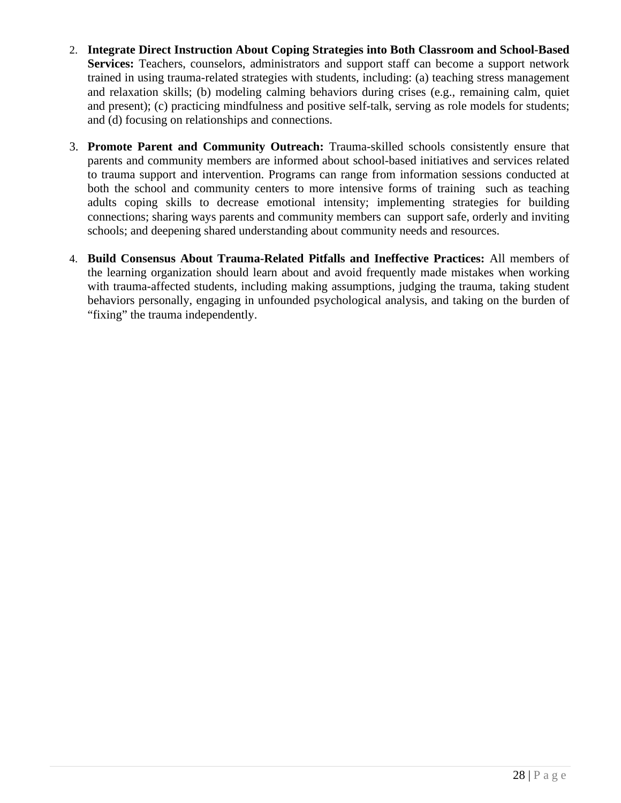- 2. **Integrate Direct Instruction About Coping Strategies into Both Classroom and School-Based**  Services: Teachers, counselors, administrators and support staff can become a support network trained in using trauma-related strategies with students, including: (a) teaching stress management and relaxation skills; (b) modeling calming behaviors during crises (e.g., remaining calm, quiet and present); (c) practicing mindfulness and positive self-talk, serving as role models for students; and (d) focusing on relationships and connections.
- 3. **Promote Parent and Community Outreach:** Trauma-skilled schools consistently ensure that parents and community members are informed about school-based initiatives and services related to trauma support and intervention. Programs can range from information sessions conducted at both the school and community centers to more intensive forms of training such as teaching adults coping skills to decrease emotional intensity; implementing strategies for building connections; sharing ways parents and community members can support safe, orderly and inviting schools; and deepening shared understanding about community needs and resources.
- 4. **Build Consensus About Trauma-Related Pitfalls and Ineffective Practices:** All members of the learning organization should learn about and avoid frequently made mistakes when working with trauma-affected students, including making assumptions, judging the trauma, taking student behaviors personally, engaging in unfounded psychological analysis, and taking on the burden of "fixing" the trauma independently.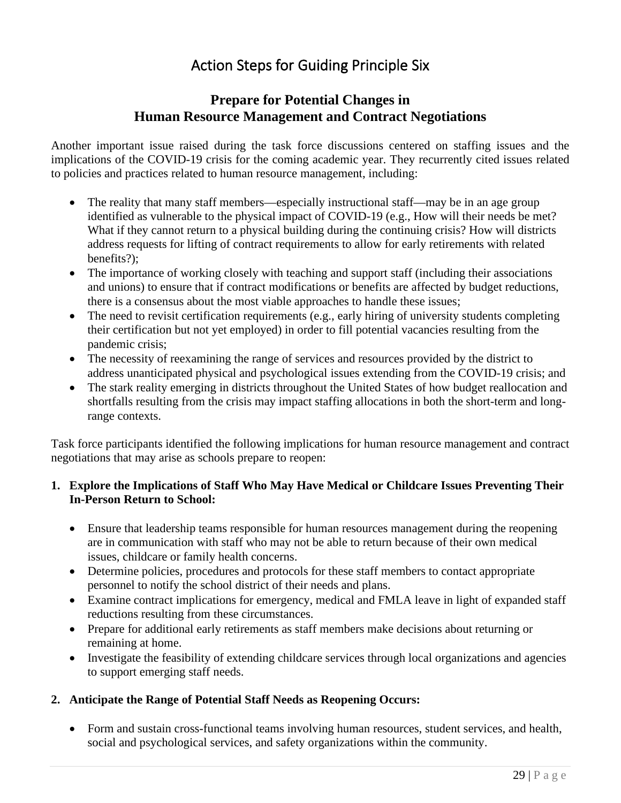# Action Steps for Guiding Principle Six

# **Prepare for Potential Changes in Human Resource Management and Contract Negotiations**

<span id="page-28-0"></span>Another important issue raised during the task force discussions centered on staffing issues and the implications of the COVID-19 crisis for the coming academic year. They recurrently cited issues related to policies and practices related to human resource management, including:

- The reality that many staff members—especially instructional staff—may be in an age group identified as vulnerable to the physical impact of COVID-19 (e.g., How will their needs be met? What if they cannot return to a physical building during the continuing crisis? How will districts address requests for lifting of contract requirements to allow for early retirements with related benefits?);
- The importance of working closely with teaching and support staff (including their associations and unions) to ensure that if contract modifications or benefits are affected by budget reductions, there is a consensus about the most viable approaches to handle these issues;
- The need to revisit certification requirements (e.g., early hiring of university students completing their certification but not yet employed) in order to fill potential vacancies resulting from the pandemic crisis;
- The necessity of reexamining the range of services and resources provided by the district to address unanticipated physical and psychological issues extending from the COVID-19 crisis; and
- The stark reality emerging in districts throughout the United States of how budget reallocation and shortfalls resulting from the crisis may impact staffing allocations in both the short-term and longrange contexts.

Task force participants identified the following implications for human resource management and contract negotiations that may arise as schools prepare to reopen:

## **1. Explore the Implications of Staff Who May Have Medical or Childcare Issues Preventing Their In-Person Return to School:**

- Ensure that leadership teams responsible for human resources management during the reopening are in communication with staff who may not be able to return because of their own medical issues, childcare or family health concerns.
- Determine policies, procedures and protocols for these staff members to contact appropriate personnel to notify the school district of their needs and plans.
- Examine contract implications for emergency, medical and FMLA leave in light of expanded staff reductions resulting from these circumstances.
- Prepare for additional early retirements as staff members make decisions about returning or remaining at home.
- Investigate the feasibility of extending childcare services through local organizations and agencies to support emerging staff needs.

# **2. Anticipate the Range of Potential Staff Needs as Reopening Occurs:**

• Form and sustain cross-functional teams involving human resources, student services, and health, social and psychological services, and safety organizations within the community.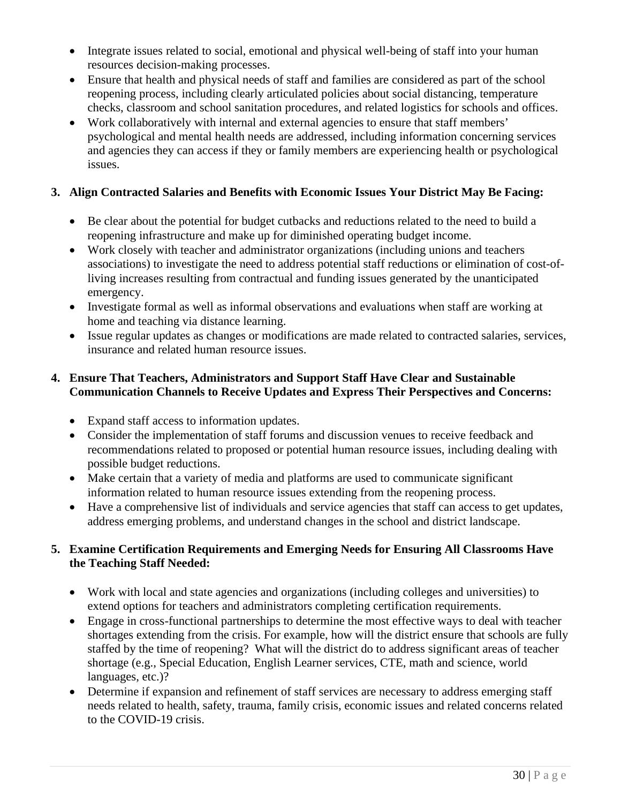- Integrate issues related to social, emotional and physical well-being of staff into your human resources decision-making processes.
- Ensure that health and physical needs of staff and families are considered as part of the school reopening process, including clearly articulated policies about social distancing, temperature checks, classroom and school sanitation procedures, and related logistics for schools and offices.
- Work collaboratively with internal and external agencies to ensure that staff members' psychological and mental health needs are addressed, including information concerning services and agencies they can access if they or family members are experiencing health or psychological issues.

# **3. Align Contracted Salaries and Benefits with Economic Issues Your District May Be Facing:**

- Be clear about the potential for budget cutbacks and reductions related to the need to build a reopening infrastructure and make up for diminished operating budget income.
- Work closely with teacher and administrator organizations (including unions and teachers associations) to investigate the need to address potential staff reductions or elimination of cost-ofliving increases resulting from contractual and funding issues generated by the unanticipated emergency.
- Investigate formal as well as informal observations and evaluations when staff are working at home and teaching via distance learning.
- Issue regular updates as changes or modifications are made related to contracted salaries, services, insurance and related human resource issues.

# **4. Ensure That Teachers, Administrators and Support Staff Have Clear and Sustainable Communication Channels to Receive Updates and Express Their Perspectives and Concerns:**

- Expand staff access to information updates.
- Consider the implementation of staff forums and discussion venues to receive feedback and recommendations related to proposed or potential human resource issues, including dealing with possible budget reductions.
- Make certain that a variety of media and platforms are used to communicate significant information related to human resource issues extending from the reopening process.
- Have a comprehensive list of individuals and service agencies that staff can access to get updates, address emerging problems, and understand changes in the school and district landscape.

# **5. Examine Certification Requirements and Emerging Needs for Ensuring All Classrooms Have the Teaching Staff Needed:**

- Work with local and state agencies and organizations (including colleges and universities) to extend options for teachers and administrators completing certification requirements.
- Engage in cross-functional partnerships to determine the most effective ways to deal with teacher shortages extending from the crisis. For example, how will the district ensure that schools are fully staffed by the time of reopening? What will the district do to address significant areas of teacher shortage (e.g., Special Education, English Learner services, CTE, math and science, world languages, etc.)?
- Determine if expansion and refinement of staff services are necessary to address emerging staff needs related to health, safety, trauma, family crisis, economic issues and related concerns related to the COVID-19 crisis.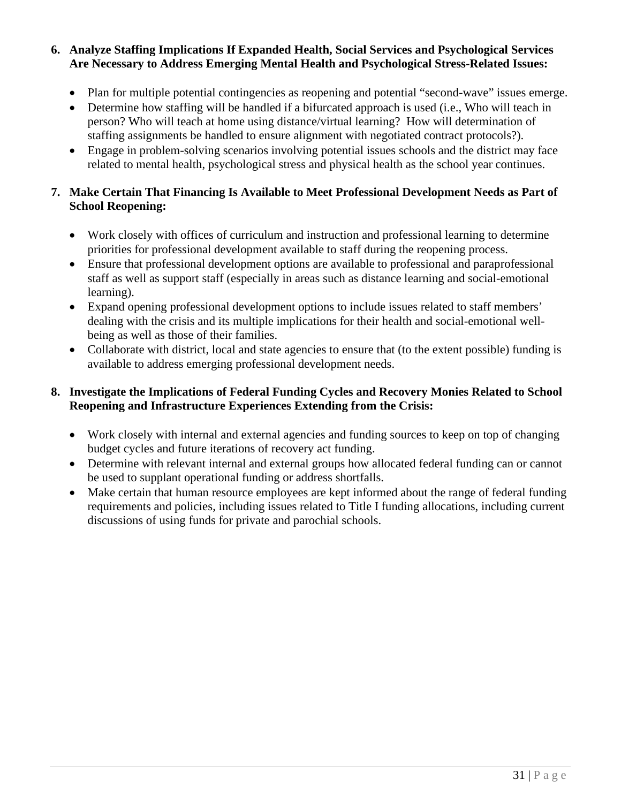## **6. Analyze Staffing Implications If Expanded Health, Social Services and Psychological Services Are Necessary to Address Emerging Mental Health and Psychological Stress-Related Issues:**

- Plan for multiple potential contingencies as reopening and potential "second-wave" issues emerge.
- Determine how staffing will be handled if a bifurcated approach is used (i.e., Who will teach in person? Who will teach at home using distance/virtual learning? How will determination of staffing assignments be handled to ensure alignment with negotiated contract protocols?).
- Engage in problem-solving scenarios involving potential issues schools and the district may face related to mental health, psychological stress and physical health as the school year continues.

## **7. Make Certain That Financing Is Available to Meet Professional Development Needs as Part of School Reopening:**

- Work closely with offices of curriculum and instruction and professional learning to determine priorities for professional development available to staff during the reopening process.
- Ensure that professional development options are available to professional and paraprofessional staff as well as support staff (especially in areas such as distance learning and social-emotional learning).
- Expand opening professional development options to include issues related to staff members' dealing with the crisis and its multiple implications for their health and social-emotional wellbeing as well as those of their families.
- Collaborate with district, local and state agencies to ensure that (to the extent possible) funding is available to address emerging professional development needs.

# **8. Investigate the Implications of Federal Funding Cycles and Recovery Monies Related to School Reopening and Infrastructure Experiences Extending from the Crisis:**

- Work closely with internal and external agencies and funding sources to keep on top of changing budget cycles and future iterations of recovery act funding.
- Determine with relevant internal and external groups how allocated federal funding can or cannot be used to supplant operational funding or address shortfalls.
- Make certain that human resource employees are kept informed about the range of federal funding requirements and policies, including issues related to Title I funding allocations, including current discussions of using funds for private and parochial schools.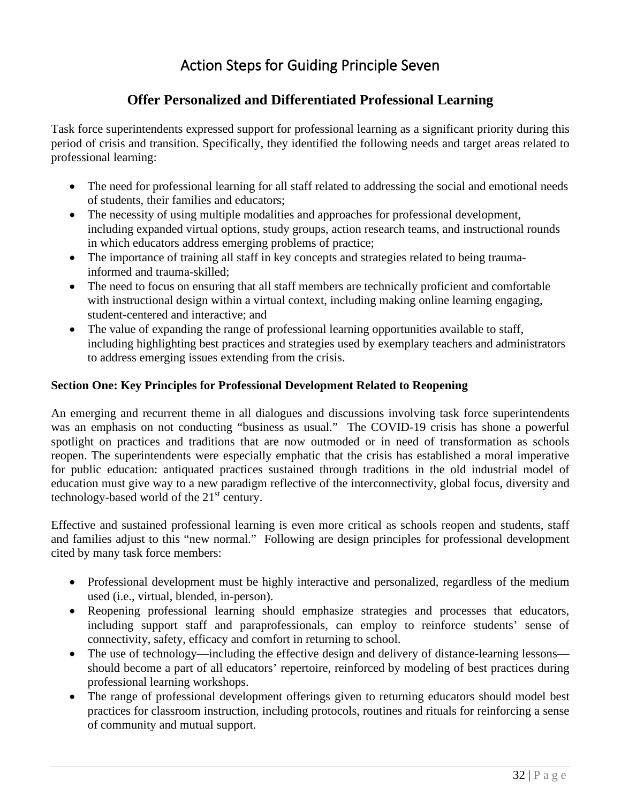# Action Steps for Guiding Principle Seven

# **Offer Personalized and Differentiated Professional Learning**

<span id="page-31-0"></span>Task force superintendents expressed support for professional learning as a significant priority during this period of crisis and transition. Specifically, they identified the following needs and target areas related to professional learning:

- The need for professional learning for all staff related to addressing the social and emotional needs of students, their families and educators;
- The necessity of using multiple modalities and approaches for professional development, including expanded virtual options, study groups, action research teams, and instructional rounds in which educators address emerging problems of practice;
- The importance of training all staff in key concepts and strategies related to being traumainformed and trauma-skilled;
- The need to focus on ensuring that all staff members are technically proficient and comfortable with instructional design within a virtual context, including making online learning engaging, student-centered and interactive; and
- The value of expanding the range of professional learning opportunities available to staff, including highlighting best practices and strategies used by exemplary teachers and administrators to address emerging issues extending from the crisis.

#### <span id="page-31-1"></span>**Section One: Key Principles for Professional Development Related to Reopening**

An emerging and recurrent theme in all dialogues and discussions involving task force superintendents was an emphasis on not conducting "business as usual." The COVID-19 crisis has shone a powerful spotlight on practices and traditions that are now outmoded or in need of transformation as schools reopen. The superintendents were especially emphatic that the crisis has established a moral imperative for public education: antiquated practices sustained through traditions in the old industrial model of education must give way to a new paradigm reflective of the interconnectivity, global focus, diversity and technology-based world of the  $21<sup>st</sup>$  century.

Effective and sustained professional learning is even more critical as schools reopen and students, staff and families adjust to this "new normal." Following are design principles for professional development cited by many task force members:

- Professional development must be highly interactive and personalized, regardless of the medium used (i.e., virtual, blended, in-person).
- Reopening professional learning should emphasize strategies and processes that educators, including support staff and paraprofessionals, can employ to reinforce students' sense of connectivity, safety, efficacy and comfort in returning to school.
- The use of technology—including the effective design and delivery of distance-learning lessons should become a part of all educators' repertoire, reinforced by modeling of best practices during professional learning workshops.
- The range of professional development offerings given to returning educators should model best practices for classroom instruction, including protocols, routines and rituals for reinforcing a sense of community and mutual support.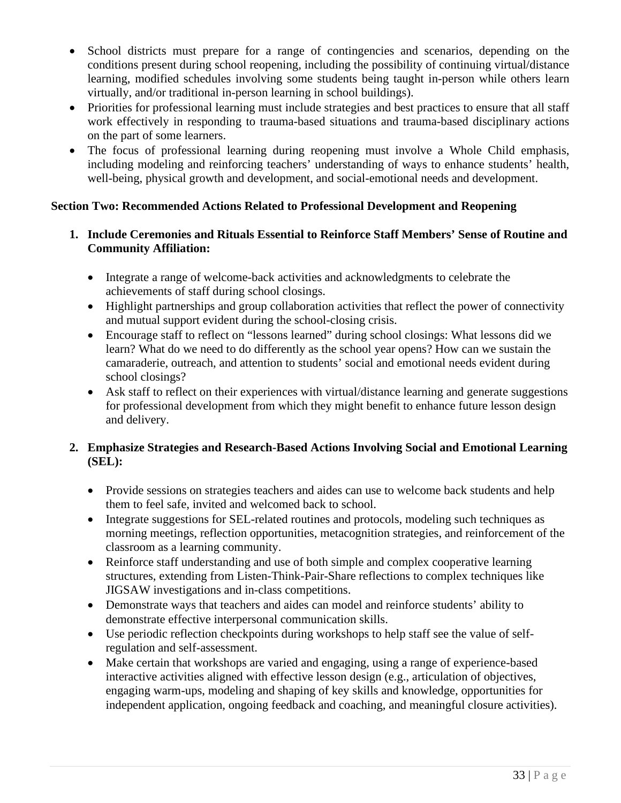- School districts must prepare for a range of contingencies and scenarios, depending on the conditions present during school reopening, including the possibility of continuing virtual/distance learning, modified schedules involving some students being taught in-person while others learn virtually, and/or traditional in-person learning in school buildings).
- Priorities for professional learning must include strategies and best practices to ensure that all staff work effectively in responding to trauma-based situations and trauma-based disciplinary actions on the part of some learners.
- The focus of professional learning during reopening must involve a Whole Child emphasis, including modeling and reinforcing teachers' understanding of ways to enhance students' health, well-being, physical growth and development, and social-emotional needs and development.

# <span id="page-32-0"></span>**Section Two: Recommended Actions Related to Professional Development and Reopening**

- **1. Include Ceremonies and Rituals Essential to Reinforce Staff Members' Sense of Routine and Community Affiliation:**
	- Integrate a range of welcome-back activities and acknowledgments to celebrate the achievements of staff during school closings.
	- Highlight partnerships and group collaboration activities that reflect the power of connectivity and mutual support evident during the school-closing crisis.
	- Encourage staff to reflect on "lessons learned" during school closings: What lessons did we learn? What do we need to do differently as the school year opens? How can we sustain the camaraderie, outreach, and attention to students' social and emotional needs evident during school closings?
	- Ask staff to reflect on their experiences with virtual/distance learning and generate suggestions for professional development from which they might benefit to enhance future lesson design and delivery.

## **2. Emphasize Strategies and Research-Based Actions Involving Social and Emotional Learning (SEL):**

- Provide sessions on strategies teachers and aides can use to welcome back students and help them to feel safe, invited and welcomed back to school.
- Integrate suggestions for SEL-related routines and protocols, modeling such techniques as morning meetings, reflection opportunities, metacognition strategies, and reinforcement of the classroom as a learning community.
- Reinforce staff understanding and use of both simple and complex cooperative learning structures, extending from Listen-Think-Pair-Share reflections to complex techniques like JIGSAW investigations and in-class competitions.
- Demonstrate ways that teachers and aides can model and reinforce students' ability to demonstrate effective interpersonal communication skills.
- Use periodic reflection checkpoints during workshops to help staff see the value of selfregulation and self-assessment.
- Make certain that workshops are varied and engaging, using a range of experience-based interactive activities aligned with effective lesson design (e.g., articulation of objectives, engaging warm-ups, modeling and shaping of key skills and knowledge, opportunities for independent application, ongoing feedback and coaching, and meaningful closure activities).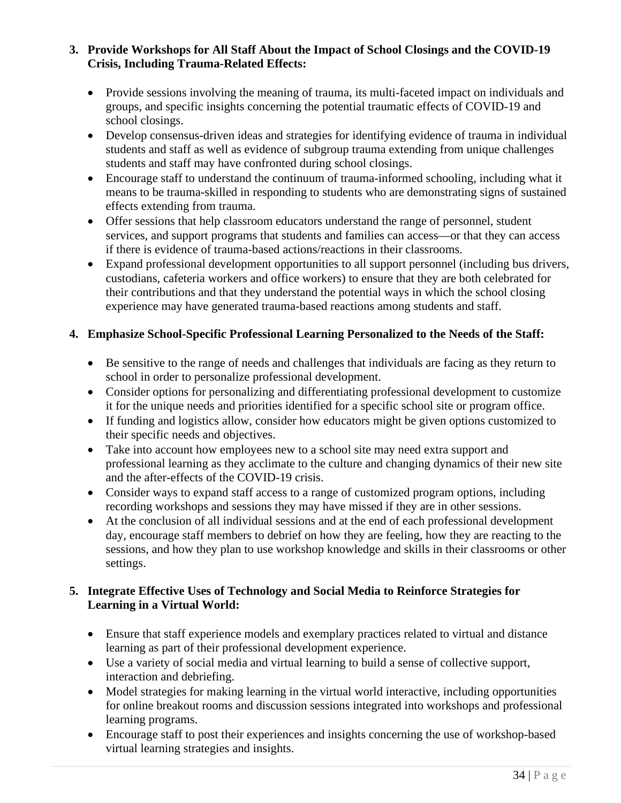## **3. Provide Workshops for All Staff About the Impact of School Closings and the COVID-19 Crisis, Including Trauma-Related Effects:**

- Provide sessions involving the meaning of trauma, its multi-faceted impact on individuals and groups, and specific insights concerning the potential traumatic effects of COVID-19 and school closings.
- Develop consensus-driven ideas and strategies for identifying evidence of trauma in individual students and staff as well as evidence of subgroup trauma extending from unique challenges students and staff may have confronted during school closings.
- Encourage staff to understand the continuum of trauma-informed schooling, including what it means to be trauma-skilled in responding to students who are demonstrating signs of sustained effects extending from trauma.
- Offer sessions that help classroom educators understand the range of personnel, student services, and support programs that students and families can access—or that they can access if there is evidence of trauma-based actions/reactions in their classrooms.
- Expand professional development opportunities to all support personnel (including bus drivers, custodians, cafeteria workers and office workers) to ensure that they are both celebrated for their contributions and that they understand the potential ways in which the school closing experience may have generated trauma-based reactions among students and staff.

# **4. Emphasize School-Specific Professional Learning Personalized to the Needs of the Staff:**

- Be sensitive to the range of needs and challenges that individuals are facing as they return to school in order to personalize professional development.
- Consider options for personalizing and differentiating professional development to customize it for the unique needs and priorities identified for a specific school site or program office.
- If funding and logistics allow, consider how educators might be given options customized to their specific needs and objectives.
- Take into account how employees new to a school site may need extra support and professional learning as they acclimate to the culture and changing dynamics of their new site and the after-effects of the COVID-19 crisis.
- Consider ways to expand staff access to a range of customized program options, including recording workshops and sessions they may have missed if they are in other sessions.
- At the conclusion of all individual sessions and at the end of each professional development day, encourage staff members to debrief on how they are feeling, how they are reacting to the sessions, and how they plan to use workshop knowledge and skills in their classrooms or other settings.

## **5. Integrate Effective Uses of Technology and Social Media to Reinforce Strategies for Learning in a Virtual World:**

- Ensure that staff experience models and exemplary practices related to virtual and distance learning as part of their professional development experience.
- Use a variety of social media and virtual learning to build a sense of collective support, interaction and debriefing.
- Model strategies for making learning in the virtual world interactive, including opportunities for online breakout rooms and discussion sessions integrated into workshops and professional learning programs.
- Encourage staff to post their experiences and insights concerning the use of workshop-based virtual learning strategies and insights.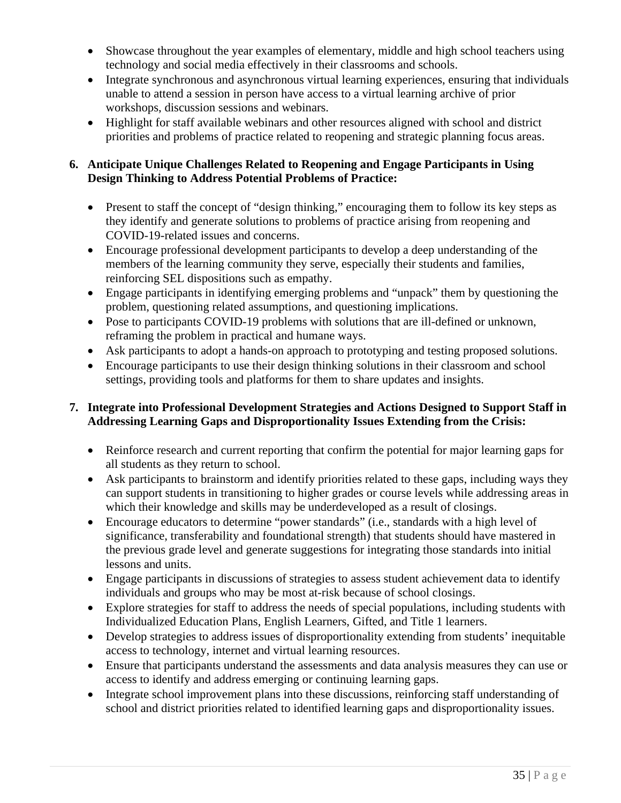- Showcase throughout the year examples of elementary, middle and high school teachers using technology and social media effectively in their classrooms and schools.
- Integrate synchronous and asynchronous virtual learning experiences, ensuring that individuals unable to attend a session in person have access to a virtual learning archive of prior workshops, discussion sessions and webinars.
- Highlight for staff available webinars and other resources aligned with school and district priorities and problems of practice related to reopening and strategic planning focus areas.

# **6. Anticipate Unique Challenges Related to Reopening and Engage Participants in Using Design Thinking to Address Potential Problems of Practice:**

- Present to staff the concept of "design thinking," encouraging them to follow its key steps as they identify and generate solutions to problems of practice arising from reopening and COVID-19-related issues and concerns.
- Encourage professional development participants to develop a deep understanding of the members of the learning community they serve, especially their students and families, reinforcing SEL dispositions such as empathy.
- Engage participants in identifying emerging problems and "unpack" them by questioning the problem, questioning related assumptions, and questioning implications.
- Pose to participants COVID-19 problems with solutions that are ill-defined or unknown, reframing the problem in practical and humane ways.
- Ask participants to adopt a hands-on approach to prototyping and testing proposed solutions.
- Encourage participants to use their design thinking solutions in their classroom and school settings, providing tools and platforms for them to share updates and insights.

# **7. Integrate into Professional Development Strategies and Actions Designed to Support Staff in Addressing Learning Gaps and Disproportionality Issues Extending from the Crisis:**

- Reinforce research and current reporting that confirm the potential for major learning gaps for all students as they return to school.
- Ask participants to brainstorm and identify priorities related to these gaps, including ways they can support students in transitioning to higher grades or course levels while addressing areas in which their knowledge and skills may be underdeveloped as a result of closings.
- Encourage educators to determine "power standards" (i.e., standards with a high level of significance, transferability and foundational strength) that students should have mastered in the previous grade level and generate suggestions for integrating those standards into initial lessons and units.
- Engage participants in discussions of strategies to assess student achievement data to identify individuals and groups who may be most at-risk because of school closings.
- Explore strategies for staff to address the needs of special populations, including students with Individualized Education Plans, English Learners, Gifted, and Title 1 learners.
- Develop strategies to address issues of disproportionality extending from students' inequitable access to technology, internet and virtual learning resources.
- Ensure that participants understand the assessments and data analysis measures they can use or access to identify and address emerging or continuing learning gaps.
- Integrate school improvement plans into these discussions, reinforcing staff understanding of school and district priorities related to identified learning gaps and disproportionality issues.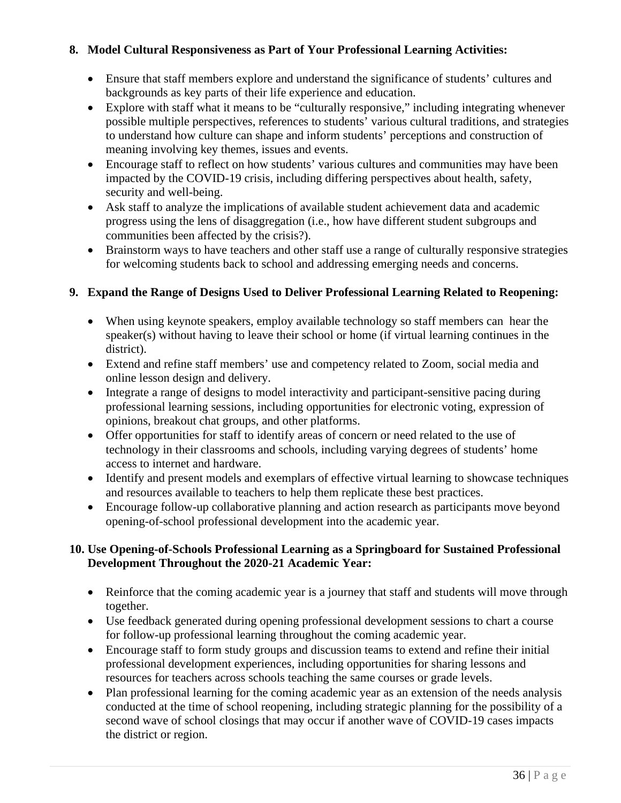# **8. Model Cultural Responsiveness as Part of Your Professional Learning Activities:**

- Ensure that staff members explore and understand the significance of students' cultures and backgrounds as key parts of their life experience and education.
- Explore with staff what it means to be "culturally responsive," including integrating whenever possible multiple perspectives, references to students' various cultural traditions, and strategies to understand how culture can shape and inform students' perceptions and construction of meaning involving key themes, issues and events.
- Encourage staff to reflect on how students' various cultures and communities may have been impacted by the COVID-19 crisis, including differing perspectives about health, safety, security and well-being.
- Ask staff to analyze the implications of available student achievement data and academic progress using the lens of disaggregation (i.e., how have different student subgroups and communities been affected by the crisis?).
- Brainstorm ways to have teachers and other staff use a range of culturally responsive strategies for welcoming students back to school and addressing emerging needs and concerns.

# **9. Expand the Range of Designs Used to Deliver Professional Learning Related to Reopening:**

- When using keynote speakers, employ available technology so staff members can hear the speaker(s) without having to leave their school or home (if virtual learning continues in the district).
- Extend and refine staff members' use and competency related to Zoom, social media and online lesson design and delivery.
- Integrate a range of designs to model interactivity and participant-sensitive pacing during professional learning sessions, including opportunities for electronic voting, expression of opinions, breakout chat groups, and other platforms.
- Offer opportunities for staff to identify areas of concern or need related to the use of technology in their classrooms and schools, including varying degrees of students' home access to internet and hardware.
- Identify and present models and exemplars of effective virtual learning to showcase techniques and resources available to teachers to help them replicate these best practices.
- Encourage follow-up collaborative planning and action research as participants move beyond opening-of-school professional development into the academic year.

## **10. Use Opening-of-Schools Professional Learning as a Springboard for Sustained Professional Development Throughout the 2020-21 Academic Year:**

- Reinforce that the coming academic year is a journey that staff and students will move through together.
- Use feedback generated during opening professional development sessions to chart a course for follow-up professional learning throughout the coming academic year.
- Encourage staff to form study groups and discussion teams to extend and refine their initial professional development experiences, including opportunities for sharing lessons and resources for teachers across schools teaching the same courses or grade levels.
- Plan professional learning for the coming academic year as an extension of the needs analysis conducted at the time of school reopening, including strategic planning for the possibility of a second wave of school closings that may occur if another wave of COVID-19 cases impacts the district or region.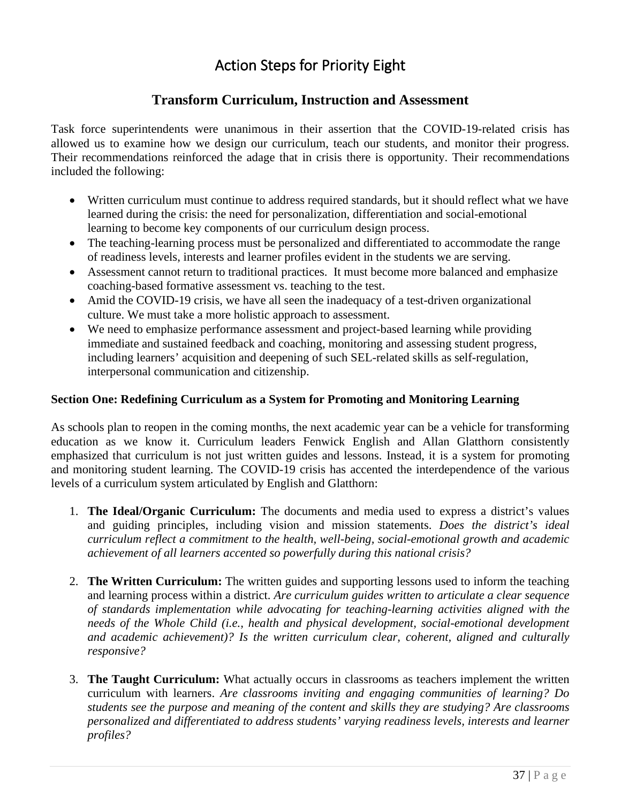# Action Steps for Priority Eight

# **Transform Curriculum, Instruction and Assessment**

<span id="page-36-0"></span>Task force superintendents were unanimous in their assertion that the COVID-19-related crisis has allowed us to examine how we design our curriculum, teach our students, and monitor their progress. Their recommendations reinforced the adage that in crisis there is opportunity. Their recommendations included the following:

- Written curriculum must continue to address required standards, but it should reflect what we have learned during the crisis: the need for personalization, differentiation and social-emotional learning to become key components of our curriculum design process.
- The teaching-learning process must be personalized and differentiated to accommodate the range of readiness levels, interests and learner profiles evident in the students we are serving.
- Assessment cannot return to traditional practices. It must become more balanced and emphasize coaching-based formative assessment vs. teaching to the test.
- Amid the COVID-19 crisis, we have all seen the inadequacy of a test-driven organizational culture. We must take a more holistic approach to assessment.
- We need to emphasize performance assessment and project-based learning while providing immediate and sustained feedback and coaching, monitoring and assessing student progress, including learners' acquisition and deepening of such SEL-related skills as self-regulation, interpersonal communication and citizenship.

#### <span id="page-36-1"></span>**Section One: Redefining Curriculum as a System for Promoting and Monitoring Learning**

As schools plan to reopen in the coming months, the next academic year can be a vehicle for transforming education as we know it. Curriculum leaders Fenwick English and Allan Glatthorn consistently emphasized that curriculum is not just written guides and lessons. Instead, it is a system for promoting and monitoring student learning. The COVID-19 crisis has accented the interdependence of the various levels of a curriculum system articulated by English and Glatthorn:

- 1. **The Ideal/Organic Curriculum:** The documents and media used to express a district's values and guiding principles, including vision and mission statements. *Does the district's ideal curriculum reflect a commitment to the health, well-being, social-emotional growth and academic achievement of all learners accented so powerfully during this national crisis?*
- 2. **The Written Curriculum:** The written guides and supporting lessons used to inform the teaching and learning process within a district. *Are curriculum guides written to articulate a clear sequence of standards implementation while advocating for teaching-learning activities aligned with the needs of the Whole Child (i.e., health and physical development, social-emotional development and academic achievement)? Is the written curriculum clear, coherent, aligned and culturally responsive?*
- 3. **The Taught Curriculum:** What actually occurs in classrooms as teachers implement the written curriculum with learners. *Are classrooms inviting and engaging communities of learning? Do students see the purpose and meaning of the content and skills they are studying? Are classrooms personalized and differentiated to address students' varying readiness levels, interests and learner profiles?*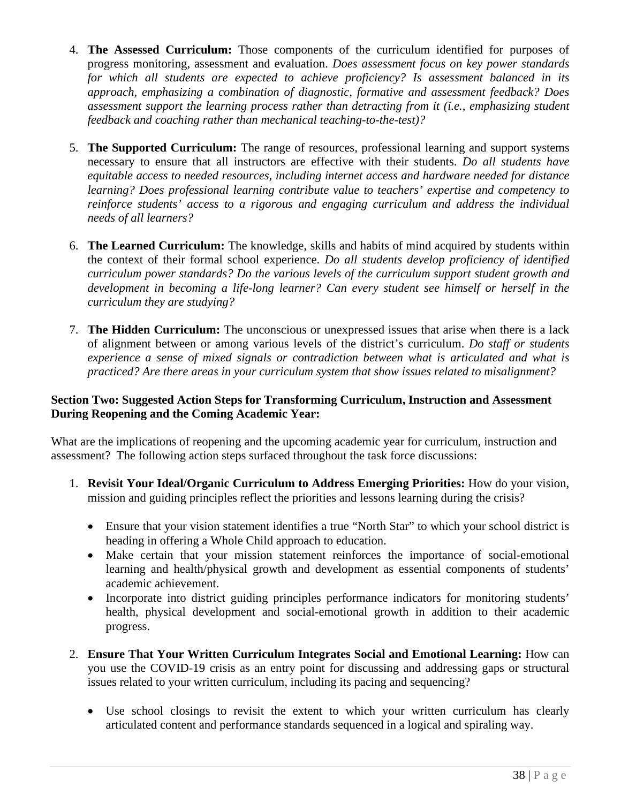- 4. **The Assessed Curriculum:** Those components of the curriculum identified for purposes of progress monitoring, assessment and evaluation. *Does assessment focus on key power standards for which all students are expected to achieve proficiency? Is assessment balanced in its approach, emphasizing a combination of diagnostic, formative and assessment feedback? Does assessment support the learning process rather than detracting from it (i.e., emphasizing student feedback and coaching rather than mechanical teaching-to-the-test)?*
- 5. **The Supported Curriculum:** The range of resources, professional learning and support systems necessary to ensure that all instructors are effective with their students. *Do all students have equitable access to needed resources, including internet access and hardware needed for distance learning? Does professional learning contribute value to teachers' expertise and competency to reinforce students' access to a rigorous and engaging curriculum and address the individual needs of all learners?*
- 6. **The Learned Curriculum:** The knowledge, skills and habits of mind acquired by students within the context of their formal school experience. *Do all students develop proficiency of identified curriculum power standards? Do the various levels of the curriculum support student growth and development in becoming a life-long learner? Can every student see himself or herself in the curriculum they are studying?*
- 7. **The Hidden Curriculum:** The unconscious or unexpressed issues that arise when there is a lack of alignment between or among various levels of the district's curriculum. *Do staff or students experience a sense of mixed signals or contradiction between what is articulated and what is practiced? Are there areas in your curriculum system that show issues related to misalignment?*

#### <span id="page-37-0"></span>**Section Two: Suggested Action Steps for Transforming Curriculum, Instruction and Assessment During Reopening and the Coming Academic Year:**

What are the implications of reopening and the upcoming academic year for curriculum, instruction and assessment? The following action steps surfaced throughout the task force discussions:

- 1. **Revisit Your Ideal/Organic Curriculum to Address Emerging Priorities:** How do your vision, mission and guiding principles reflect the priorities and lessons learning during the crisis?
	- Ensure that your vision statement identifies a true "North Star" to which your school district is heading in offering a Whole Child approach to education.
	- Make certain that your mission statement reinforces the importance of social-emotional learning and health/physical growth and development as essential components of students' academic achievement.
	- Incorporate into district guiding principles performance indicators for monitoring students' health, physical development and social-emotional growth in addition to their academic progress.
- 2. **Ensure That Your Written Curriculum Integrates Social and Emotional Learning:** How can you use the COVID-19 crisis as an entry point for discussing and addressing gaps or structural issues related to your written curriculum, including its pacing and sequencing?
	- Use school closings to revisit the extent to which your written curriculum has clearly articulated content and performance standards sequenced in a logical and spiraling way.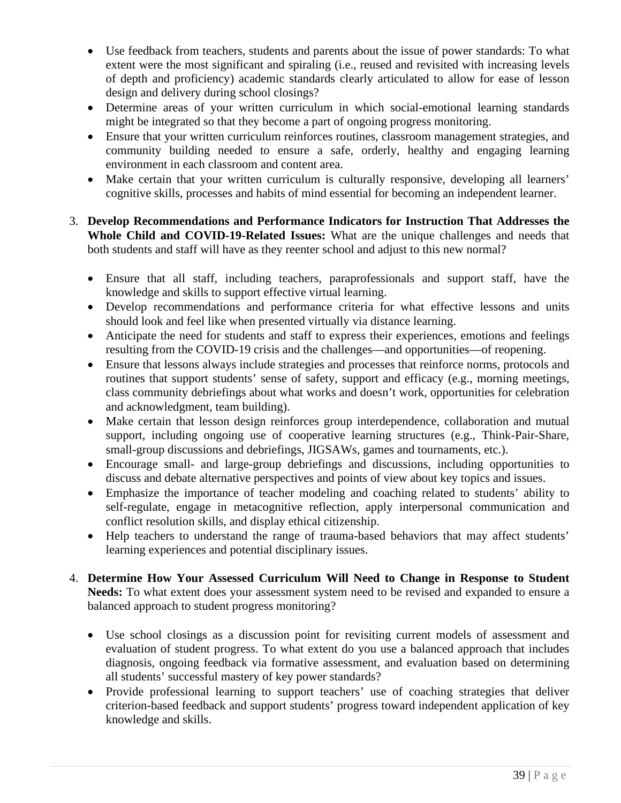- Use feedback from teachers, students and parents about the issue of power standards: To what extent were the most significant and spiraling (i.e., reused and revisited with increasing levels of depth and proficiency) academic standards clearly articulated to allow for ease of lesson design and delivery during school closings?
- Determine areas of your written curriculum in which social-emotional learning standards might be integrated so that they become a part of ongoing progress monitoring.
- Ensure that your written curriculum reinforces routines, classroom management strategies, and community building needed to ensure a safe, orderly, healthy and engaging learning environment in each classroom and content area.
- Make certain that your written curriculum is culturally responsive, developing all learners' cognitive skills, processes and habits of mind essential for becoming an independent learner.
- 3. **Develop Recommendations and Performance Indicators for Instruction That Addresses the Whole Child and COVID-19-Related Issues:** What are the unique challenges and needs that both students and staff will have as they reenter school and adjust to this new normal?
	- Ensure that all staff, including teachers, paraprofessionals and support staff, have the knowledge and skills to support effective virtual learning.
	- Develop recommendations and performance criteria for what effective lessons and units should look and feel like when presented virtually via distance learning.
	- Anticipate the need for students and staff to express their experiences, emotions and feelings resulting from the COVID-19 crisis and the challenges—and opportunities—of reopening.
	- Ensure that lessons always include strategies and processes that reinforce norms, protocols and routines that support students' sense of safety, support and efficacy (e.g., morning meetings, class community debriefings about what works and doesn't work, opportunities for celebration and acknowledgment, team building).
	- Make certain that lesson design reinforces group interdependence, collaboration and mutual support, including ongoing use of cooperative learning structures (e.g., Think-Pair-Share, small-group discussions and debriefings, JIGSAWs, games and tournaments, etc.).
	- Encourage small- and large-group debriefings and discussions, including opportunities to discuss and debate alternative perspectives and points of view about key topics and issues.
	- Emphasize the importance of teacher modeling and coaching related to students' ability to self-regulate, engage in metacognitive reflection, apply interpersonal communication and conflict resolution skills, and display ethical citizenship.
	- Help teachers to understand the range of trauma-based behaviors that may affect students' learning experiences and potential disciplinary issues.
- 4. **Determine How Your Assessed Curriculum Will Need to Change in Response to Student Needs:** To what extent does your assessment system need to be revised and expanded to ensure a balanced approach to student progress monitoring?
	- Use school closings as a discussion point for revisiting current models of assessment and evaluation of student progress. To what extent do you use a balanced approach that includes diagnosis, ongoing feedback via formative assessment, and evaluation based on determining all students' successful mastery of key power standards?
	- Provide professional learning to support teachers' use of coaching strategies that deliver criterion-based feedback and support students' progress toward independent application of key knowledge and skills.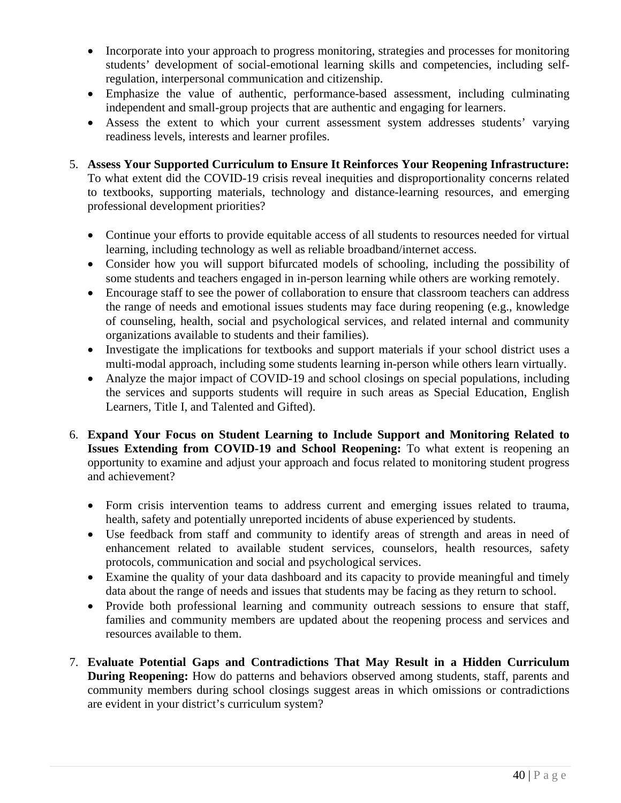- Incorporate into your approach to progress monitoring, strategies and processes for monitoring students' development of social-emotional learning skills and competencies, including selfregulation, interpersonal communication and citizenship.
- Emphasize the value of authentic, performance-based assessment, including culminating independent and small-group projects that are authentic and engaging for learners.
- Assess the extent to which your current assessment system addresses students' varying readiness levels, interests and learner profiles.
- 5. **Assess Your Supported Curriculum to Ensure It Reinforces Your Reopening Infrastructure:**

To what extent did the COVID-19 crisis reveal inequities and disproportionality concerns related to textbooks, supporting materials, technology and distance-learning resources, and emerging professional development priorities?

- Continue your efforts to provide equitable access of all students to resources needed for virtual learning, including technology as well as reliable broadband/internet access.
- Consider how you will support bifurcated models of schooling, including the possibility of some students and teachers engaged in in-person learning while others are working remotely.
- Encourage staff to see the power of collaboration to ensure that classroom teachers can address the range of needs and emotional issues students may face during reopening (e.g., knowledge of counseling, health, social and psychological services, and related internal and community organizations available to students and their families).
- Investigate the implications for textbooks and support materials if your school district uses a multi-modal approach, including some students learning in-person while others learn virtually.
- Analyze the major impact of COVID-19 and school closings on special populations, including the services and supports students will require in such areas as Special Education, English Learners, Title I, and Talented and Gifted).
- 6. **Expand Your Focus on Student Learning to Include Support and Monitoring Related to Issues Extending from COVID-19 and School Reopening:** To what extent is reopening an opportunity to examine and adjust your approach and focus related to monitoring student progress and achievement?
	- Form crisis intervention teams to address current and emerging issues related to trauma, health, safety and potentially unreported incidents of abuse experienced by students.
	- Use feedback from staff and community to identify areas of strength and areas in need of enhancement related to available student services, counselors, health resources, safety protocols, communication and social and psychological services.
	- Examine the quality of your data dashboard and its capacity to provide meaningful and timely data about the range of needs and issues that students may be facing as they return to school.
	- Provide both professional learning and community outreach sessions to ensure that staff, families and community members are updated about the reopening process and services and resources available to them.
- 7. **Evaluate Potential Gaps and Contradictions That May Result in a Hidden Curriculum During Reopening:** How do patterns and behaviors observed among students, staff, parents and community members during school closings suggest areas in which omissions or contradictions are evident in your district's curriculum system?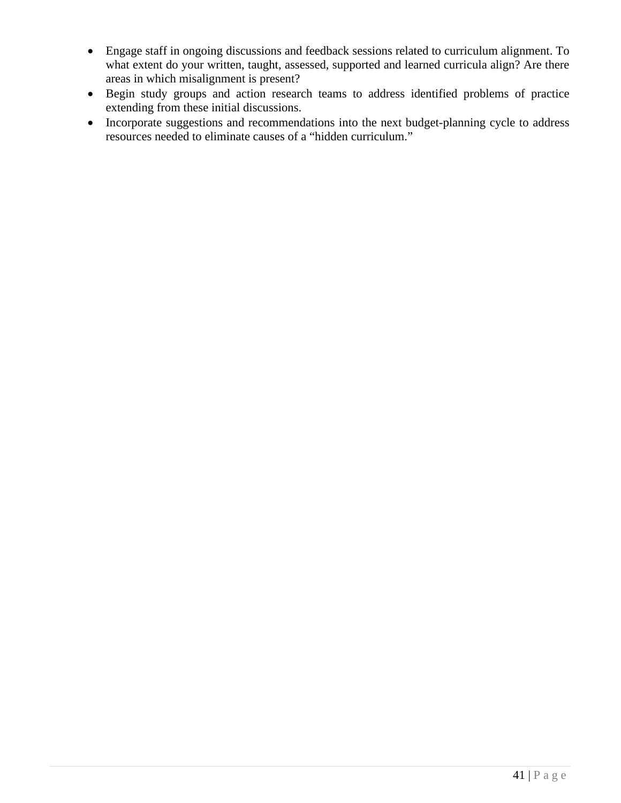- Engage staff in ongoing discussions and feedback sessions related to curriculum alignment. To what extent do your written, taught, assessed, supported and learned curricula align? Are there areas in which misalignment is present?
- Begin study groups and action research teams to address identified problems of practice extending from these initial discussions.
- Incorporate suggestions and recommendations into the next budget-planning cycle to address resources needed to eliminate causes of a "hidden curriculum."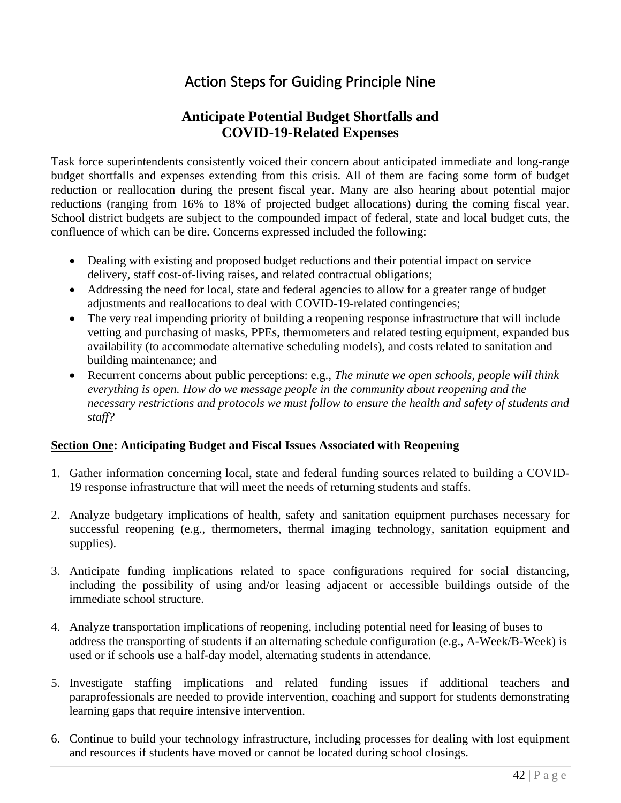# Action Steps for Guiding Principle Nine

# **Anticipate Potential Budget Shortfalls and COVID-19-Related Expenses**

<span id="page-41-0"></span>Task force superintendents consistently voiced their concern about anticipated immediate and long-range budget shortfalls and expenses extending from this crisis. All of them are facing some form of budget reduction or reallocation during the present fiscal year. Many are also hearing about potential major reductions (ranging from 16% to 18% of projected budget allocations) during the coming fiscal year. School district budgets are subject to the compounded impact of federal, state and local budget cuts, the confluence of which can be dire. Concerns expressed included the following:

- Dealing with existing and proposed budget reductions and their potential impact on service delivery, staff cost-of-living raises, and related contractual obligations;
- Addressing the need for local, state and federal agencies to allow for a greater range of budget adjustments and reallocations to deal with COVID-19-related contingencies;
- The very real impending priority of building a reopening response infrastructure that will include vetting and purchasing of masks, PPEs, thermometers and related testing equipment, expanded bus availability (to accommodate alternative scheduling models), and costs related to sanitation and building maintenance; and
- Recurrent concerns about public perceptions: e.g., *The minute we open schools, people will think everything is open. How do we message people in the community about reopening and the necessary restrictions and protocols we must follow to ensure the health and safety of students and staff?*

## <span id="page-41-1"></span>**Section One: Anticipating Budget and Fiscal Issues Associated with Reopening**

- 1. Gather information concerning local, state and federal funding sources related to building a COVID-19 response infrastructure that will meet the needs of returning students and staffs.
- 2. Analyze budgetary implications of health, safety and sanitation equipment purchases necessary for successful reopening (e.g., thermometers, thermal imaging technology, sanitation equipment and supplies).
- 3. Anticipate funding implications related to space configurations required for social distancing, including the possibility of using and/or leasing adjacent or accessible buildings outside of the immediate school structure.
- 4. Analyze transportation implications of reopening, including potential need for leasing of buses to address the transporting of students if an alternating schedule configuration (e.g., A-Week/B-Week) is used or if schools use a half-day model, alternating students in attendance.
- 5. Investigate staffing implications and related funding issues if additional teachers and paraprofessionals are needed to provide intervention, coaching and support for students demonstrating learning gaps that require intensive intervention.
- 6. Continue to build your technology infrastructure, including processes for dealing with lost equipment and resources if students have moved or cannot be located during school closings.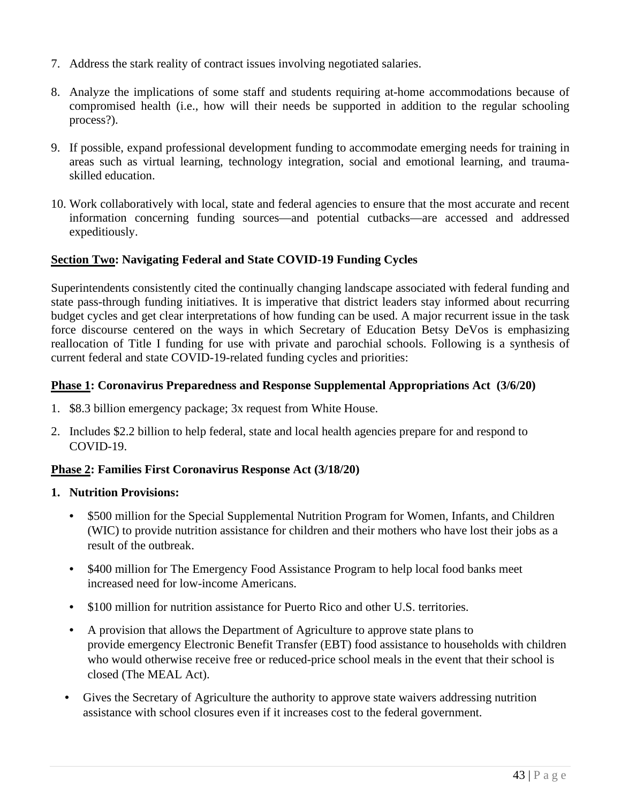- 7. Address the stark reality of contract issues involving negotiated salaries.
- 8. Analyze the implications of some staff and students requiring at-home accommodations because of compromised health (i.e., how will their needs be supported in addition to the regular schooling process?).
- 9. If possible, expand professional development funding to accommodate emerging needs for training in areas such as virtual learning, technology integration, social and emotional learning, and traumaskilled education.
- 10. Work collaboratively with local, state and federal agencies to ensure that the most accurate and recent information concerning funding sources—and potential cutbacks—are accessed and addressed expeditiously.

# <span id="page-42-0"></span>**Section Two: Navigating Federal and State COVID-19 Funding Cycles**

Superintendents consistently cited the continually changing landscape associated with federal funding and state pass-through funding initiatives. It is imperative that district leaders stay informed about recurring budget cycles and get clear interpretations of how funding can be used. A major recurrent issue in the task force discourse centered on the ways in which Secretary of Education Betsy DeVos is emphasizing reallocation of Title I funding for use with private and parochial schools. Following is a synthesis of current federal and state COVID-19-related funding cycles and priorities:

## **Phase 1: Coronavirus Preparedness and Response Supplemental Appropriations Act (3/6/20)**

- 1. \$8.3 billion emergency package; 3x request from White House.
- 2. Includes \$2.2 billion to help federal, state and local health agencies prepare for and respond to COVID-19.

## **Phase 2: Families First Coronavirus Response Act (3/18/20)**

#### **1. Nutrition Provisions:**

- \$500 million for the Special Supplemental Nutrition Program for Women, Infants, and Children (WIC) to provide nutrition assistance for children and their mothers who have lost their jobs as a result of the outbreak.
- \$400 million for The Emergency Food Assistance Program to help local food banks meet increased need for low-income Americans.
- \$100 million for nutrition assistance for Puerto Rico and other U.S. territories.
- A provision that allows the Department of Agriculture to approve state plans to provide emergency Electronic Benefit Transfer (EBT) food assistance to households with children who would otherwise receive free or reduced-price school meals in the event that their school is closed (The MEAL Act).
- Gives the Secretary of Agriculture the authority to approve state waivers addressing nutrition assistance with school closures even if it increases cost to the federal government.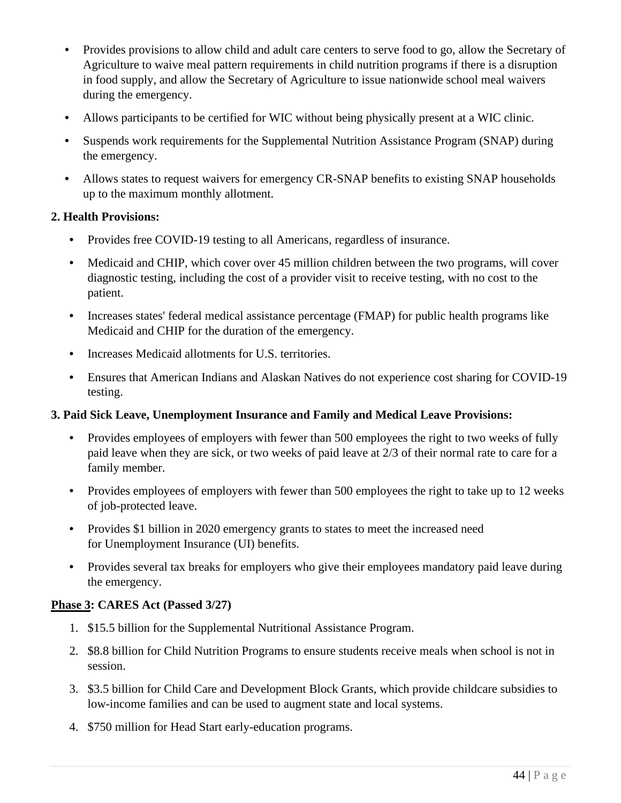- Provides provisions to allow child and adult care centers to serve food to go, allow the Secretary of Agriculture to waive meal pattern requirements in child nutrition programs if there is a disruption in food supply, and allow the Secretary of Agriculture to issue nationwide school meal waivers during the emergency.
- Allows participants to be certified for WIC without being physically present at a WIC clinic.
- Suspends work requirements for the Supplemental Nutrition Assistance Program (SNAP) during the emergency.
- Allows states to request waivers for emergency CR-SNAP benefits to existing SNAP households up to the maximum monthly allotment.

## **2. Health Provisions:**

- Provides free COVID-19 testing to all Americans, regardless of insurance.
- Medicaid and CHIP, which cover over 45 million children between the two programs, will cover diagnostic testing, including the cost of a provider visit to receive testing, with no cost to the patient.
- Increases states' federal medical assistance percentage (FMAP) for public health programs like Medicaid and CHIP for the duration of the emergency.
- Increases Medicaid allotments for U.S. territories.
- Ensures that American Indians and Alaskan Natives do not experience cost sharing for COVID-19 testing.

## **3. Paid Sick Leave, Unemployment Insurance and Family and Medical Leave Provisions:**

- Provides employees of employers with fewer than 500 employees the right to two weeks of fully paid leave when they are sick, or two weeks of paid leave at 2/3 of their normal rate to care for a family member.
- Provides employees of employers with fewer than 500 employees the right to take up to 12 weeks of job-protected leave.
- Provides \$1 billion in 2020 emergency grants to states to meet the increased need for Unemployment Insurance (UI) benefits.
- Provides several tax breaks for employers who give their employees mandatory paid leave during the emergency.

## **Phase 3: CARES Act (Passed 3/27)**

- 1. \$15.5 billion for the Supplemental Nutritional Assistance Program.
- 2. \$8.8 billion for Child Nutrition Programs to ensure students receive meals when school is not in session.
- 3. \$3.5 billion for Child Care and Development Block Grants, which provide childcare subsidies to low-income families and can be used to augment state and local systems.
- 4. \$750 million for Head Start early-education programs.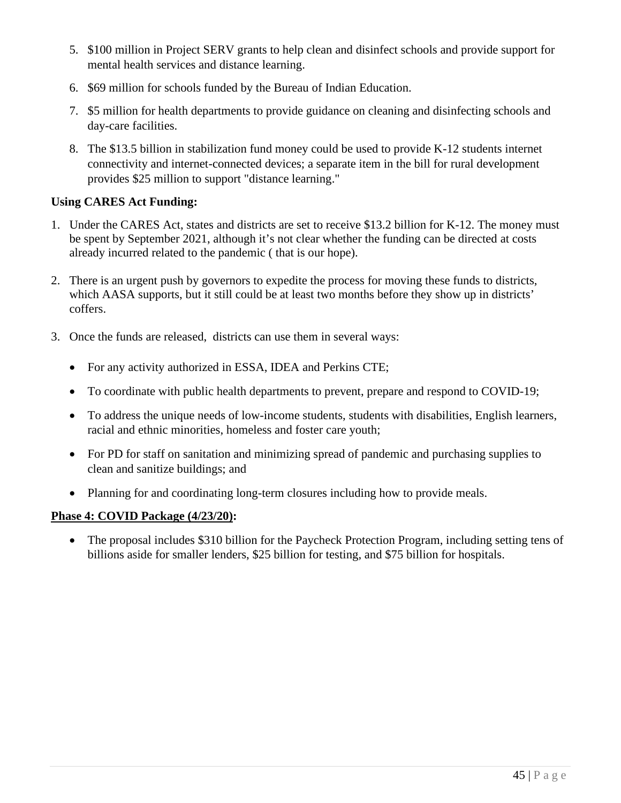- 5. \$100 million in Project SERV grants to help clean and disinfect schools and provide support for mental health services and distance learning.
- 6. \$69 million for schools funded by the Bureau of Indian Education.
- 7. \$5 million for health departments to provide guidance on cleaning and disinfecting schools and day-care facilities.
- 8. The \$13.5 billion in stabilization fund money could be used to provide K-12 students internet connectivity and internet-connected devices; a separate item in the bill for rural development provides \$25 million to support "distance learning."

# **Using CARES Act Funding:**

- 1. Under the CARES Act, states and districts are set to receive \$13.2 billion for K-12. The money must be spent by September 2021, although it's not clear whether the funding can be directed at costs already incurred related to the pandemic ( that is our hope).
- 2. There is an urgent push by governors to expedite the process for moving these funds to districts, which AASA supports, but it still could be at least two months before they show up in districts' coffers.
- 3. Once the funds are released, districts can use them in several ways:
	- For any activity authorized in ESSA, IDEA and Perkins CTE;
	- To coordinate with public health departments to prevent, prepare and respond to COVID-19;
	- To address the unique needs of low-income students, students with disabilities, English learners, racial and ethnic minorities, homeless and foster care youth;
	- For PD for staff on sanitation and minimizing spread of pandemic and purchasing supplies to clean and sanitize buildings; and
	- Planning for and coordinating long-term closures including how to provide meals.

## **Phase 4: COVID Package (4/23/20):**

• The proposal includes \$310 billion for the Paycheck Protection Program, including setting tens of billions aside for smaller lenders, \$25 billion for testing, and \$75 billion for hospitals.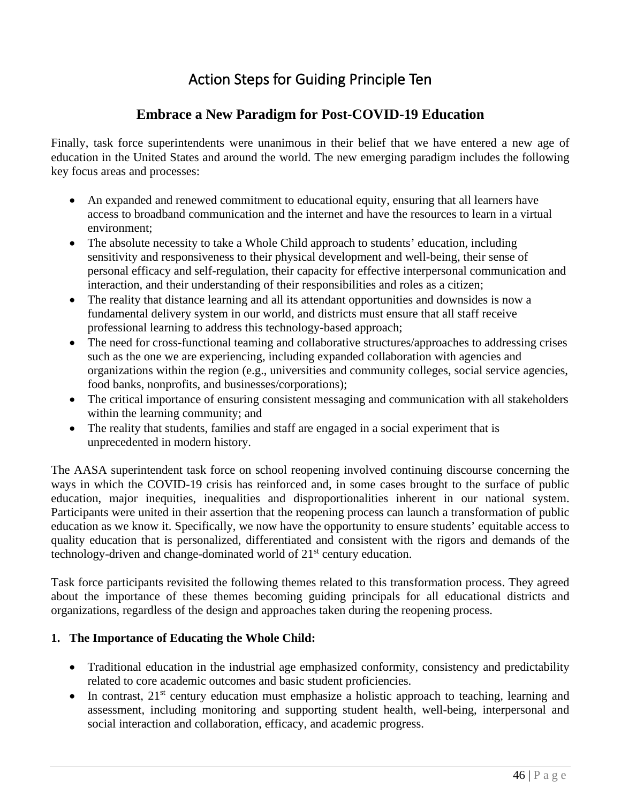# Action Steps for Guiding Principle Ten

# **Embrace a New Paradigm for Post-COVID-19 Education**

<span id="page-45-0"></span>Finally, task force superintendents were unanimous in their belief that we have entered a new age of education in the United States and around the world. The new emerging paradigm includes the following key focus areas and processes:

- An expanded and renewed commitment to educational equity, ensuring that all learners have access to broadband communication and the internet and have the resources to learn in a virtual environment;
- The absolute necessity to take a Whole Child approach to students' education, including sensitivity and responsiveness to their physical development and well-being, their sense of personal efficacy and self-regulation, their capacity for effective interpersonal communication and interaction, and their understanding of their responsibilities and roles as a citizen;
- The reality that distance learning and all its attendant opportunities and downsides is now a fundamental delivery system in our world, and districts must ensure that all staff receive professional learning to address this technology-based approach;
- The need for cross-functional teaming and collaborative structures/approaches to addressing crises such as the one we are experiencing, including expanded collaboration with agencies and organizations within the region (e.g., universities and community colleges, social service agencies, food banks, nonprofits, and businesses/corporations);
- The critical importance of ensuring consistent messaging and communication with all stakeholders within the learning community; and
- The reality that students, families and staff are engaged in a social experiment that is unprecedented in modern history.

The AASA superintendent task force on school reopening involved continuing discourse concerning the ways in which the COVID-19 crisis has reinforced and, in some cases brought to the surface of public education, major inequities, inequalities and disproportionalities inherent in our national system. Participants were united in their assertion that the reopening process can launch a transformation of public education as we know it. Specifically, we now have the opportunity to ensure students' equitable access to quality education that is personalized, differentiated and consistent with the rigors and demands of the technology-driven and change-dominated world of 21st century education.

Task force participants revisited the following themes related to this transformation process. They agreed about the importance of these themes becoming guiding principals for all educational districts and organizations, regardless of the design and approaches taken during the reopening process.

# **1. The Importance of Educating the Whole Child:**

- Traditional education in the industrial age emphasized conformity, consistency and predictability related to core academic outcomes and basic student proficiencies.
- In contrast,  $21<sup>st</sup>$  century education must emphasize a holistic approach to teaching, learning and assessment, including monitoring and supporting student health, well-being, interpersonal and social interaction and collaboration, efficacy, and academic progress.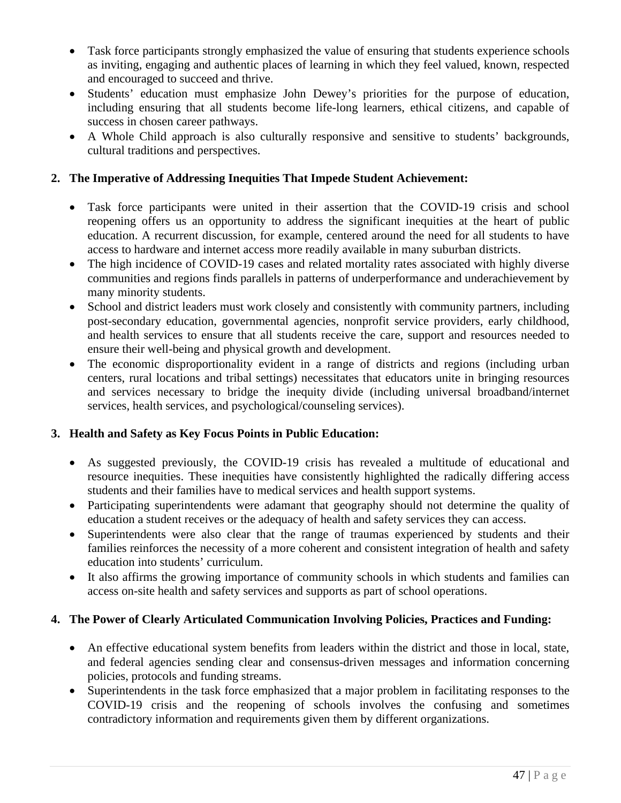- Task force participants strongly emphasized the value of ensuring that students experience schools as inviting, engaging and authentic places of learning in which they feel valued, known, respected and encouraged to succeed and thrive.
- Students' education must emphasize John Dewey's priorities for the purpose of education, including ensuring that all students become life-long learners, ethical citizens, and capable of success in chosen career pathways.
- A Whole Child approach is also culturally responsive and sensitive to students' backgrounds, cultural traditions and perspectives.

# **2. The Imperative of Addressing Inequities That Impede Student Achievement:**

- Task force participants were united in their assertion that the COVID-19 crisis and school reopening offers us an opportunity to address the significant inequities at the heart of public education. A recurrent discussion, for example, centered around the need for all students to have access to hardware and internet access more readily available in many suburban districts.
- The high incidence of COVID-19 cases and related mortality rates associated with highly diverse communities and regions finds parallels in patterns of underperformance and underachievement by many minority students.
- School and district leaders must work closely and consistently with community partners, including post-secondary education, governmental agencies, nonprofit service providers, early childhood, and health services to ensure that all students receive the care, support and resources needed to ensure their well-being and physical growth and development.
- The economic disproportionality evident in a range of districts and regions (including urban centers, rural locations and tribal settings) necessitates that educators unite in bringing resources and services necessary to bridge the inequity divide (including universal broadband/internet services, health services, and psychological/counseling services).

## **3. Health and Safety as Key Focus Points in Public Education:**

- As suggested previously, the COVID-19 crisis has revealed a multitude of educational and resource inequities. These inequities have consistently highlighted the radically differing access students and their families have to medical services and health support systems.
- Participating superintendents were adamant that geography should not determine the quality of education a student receives or the adequacy of health and safety services they can access.
- Superintendents were also clear that the range of traumas experienced by students and their families reinforces the necessity of a more coherent and consistent integration of health and safety education into students' curriculum.
- It also affirms the growing importance of community schools in which students and families can access on-site health and safety services and supports as part of school operations.

# **4. The Power of Clearly Articulated Communication Involving Policies, Practices and Funding:**

- An effective educational system benefits from leaders within the district and those in local, state, and federal agencies sending clear and consensus-driven messages and information concerning policies, protocols and funding streams.
- Superintendents in the task force emphasized that a major problem in facilitating responses to the COVID-19 crisis and the reopening of schools involves the confusing and sometimes contradictory information and requirements given them by different organizations.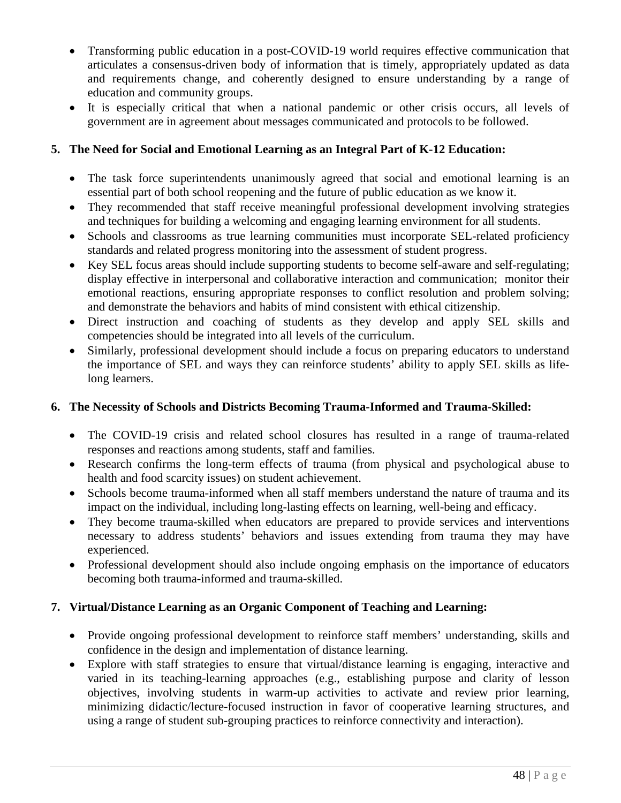- Transforming public education in a post-COVID-19 world requires effective communication that articulates a consensus-driven body of information that is timely, appropriately updated as data and requirements change, and coherently designed to ensure understanding by a range of education and community groups.
- It is especially critical that when a national pandemic or other crisis occurs, all levels of government are in agreement about messages communicated and protocols to be followed.

## **5. The Need for Social and Emotional Learning as an Integral Part of K-12 Education:**

- The task force superintendents unanimously agreed that social and emotional learning is an essential part of both school reopening and the future of public education as we know it.
- They recommended that staff receive meaningful professional development involving strategies and techniques for building a welcoming and engaging learning environment for all students.
- Schools and classrooms as true learning communities must incorporate SEL-related proficiency standards and related progress monitoring into the assessment of student progress.
- Key SEL focus areas should include supporting students to become self-aware and self-regulating; display effective in interpersonal and collaborative interaction and communication; monitor their emotional reactions, ensuring appropriate responses to conflict resolution and problem solving; and demonstrate the behaviors and habits of mind consistent with ethical citizenship.
- Direct instruction and coaching of students as they develop and apply SEL skills and competencies should be integrated into all levels of the curriculum.
- Similarly, professional development should include a focus on preparing educators to understand the importance of SEL and ways they can reinforce students' ability to apply SEL skills as lifelong learners.

## **6. The Necessity of Schools and Districts Becoming Trauma-Informed and Trauma-Skilled:**

- The COVID-19 crisis and related school closures has resulted in a range of trauma-related responses and reactions among students, staff and families.
- Research confirms the long-term effects of trauma (from physical and psychological abuse to health and food scarcity issues) on student achievement.
- Schools become trauma-informed when all staff members understand the nature of trauma and its impact on the individual, including long-lasting effects on learning, well-being and efficacy.
- They become trauma-skilled when educators are prepared to provide services and interventions necessary to address students' behaviors and issues extending from trauma they may have experienced.
- Professional development should also include ongoing emphasis on the importance of educators becoming both trauma-informed and trauma-skilled.

## **7. Virtual/Distance Learning as an Organic Component of Teaching and Learning:**

- Provide ongoing professional development to reinforce staff members' understanding, skills and confidence in the design and implementation of distance learning.
- Explore with staff strategies to ensure that virtual/distance learning is engaging, interactive and varied in its teaching-learning approaches (e.g., establishing purpose and clarity of lesson objectives, involving students in warm-up activities to activate and review prior learning, minimizing didactic/lecture-focused instruction in favor of cooperative learning structures, and using a range of student sub-grouping practices to reinforce connectivity and interaction).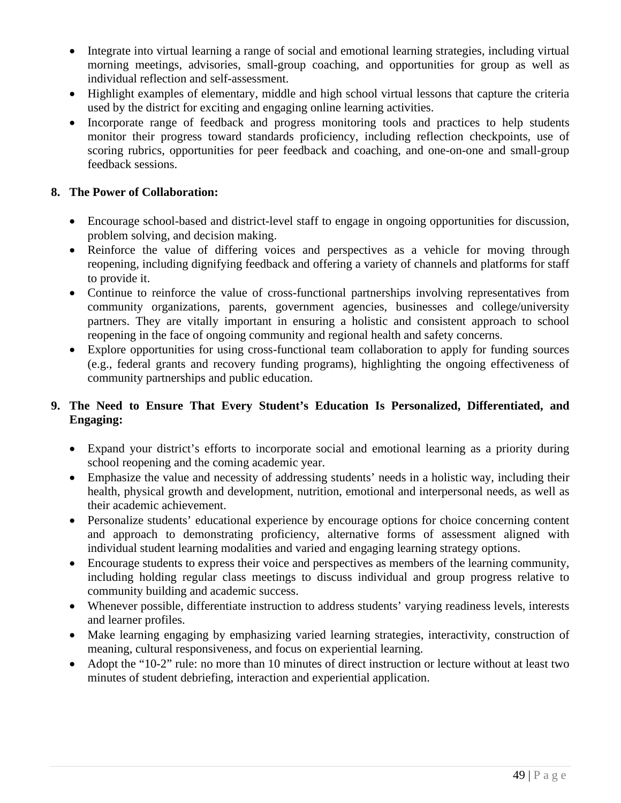- Integrate into virtual learning a range of social and emotional learning strategies, including virtual morning meetings, advisories, small-group coaching, and opportunities for group as well as individual reflection and self-assessment.
- Highlight examples of elementary, middle and high school virtual lessons that capture the criteria used by the district for exciting and engaging online learning activities.
- Incorporate range of feedback and progress monitoring tools and practices to help students monitor their progress toward standards proficiency, including reflection checkpoints, use of scoring rubrics, opportunities for peer feedback and coaching, and one-on-one and small-group feedback sessions.

## **8. The Power of Collaboration:**

- Encourage school-based and district-level staff to engage in ongoing opportunities for discussion, problem solving, and decision making.
- Reinforce the value of differing voices and perspectives as a vehicle for moving through reopening, including dignifying feedback and offering a variety of channels and platforms for staff to provide it.
- Continue to reinforce the value of cross-functional partnerships involving representatives from community organizations, parents, government agencies, businesses and college/university partners. They are vitally important in ensuring a holistic and consistent approach to school reopening in the face of ongoing community and regional health and safety concerns.
- Explore opportunities for using cross-functional team collaboration to apply for funding sources (e.g., federal grants and recovery funding programs), highlighting the ongoing effectiveness of community partnerships and public education.

## **9. The Need to Ensure That Every Student's Education Is Personalized, Differentiated, and Engaging:**

- Expand your district's efforts to incorporate social and emotional learning as a priority during school reopening and the coming academic year.
- Emphasize the value and necessity of addressing students' needs in a holistic way, including their health, physical growth and development, nutrition, emotional and interpersonal needs, as well as their academic achievement.
- Personalize students' educational experience by encourage options for choice concerning content and approach to demonstrating proficiency, alternative forms of assessment aligned with individual student learning modalities and varied and engaging learning strategy options.
- Encourage students to express their voice and perspectives as members of the learning community, including holding regular class meetings to discuss individual and group progress relative to community building and academic success.
- Whenever possible, differentiate instruction to address students' varying readiness levels, interests and learner profiles.
- Make learning engaging by emphasizing varied learning strategies, interactivity, construction of meaning, cultural responsiveness, and focus on experiential learning.
- Adopt the "10-2" rule: no more than 10 minutes of direct instruction or lecture without at least two minutes of student debriefing, interaction and experiential application.